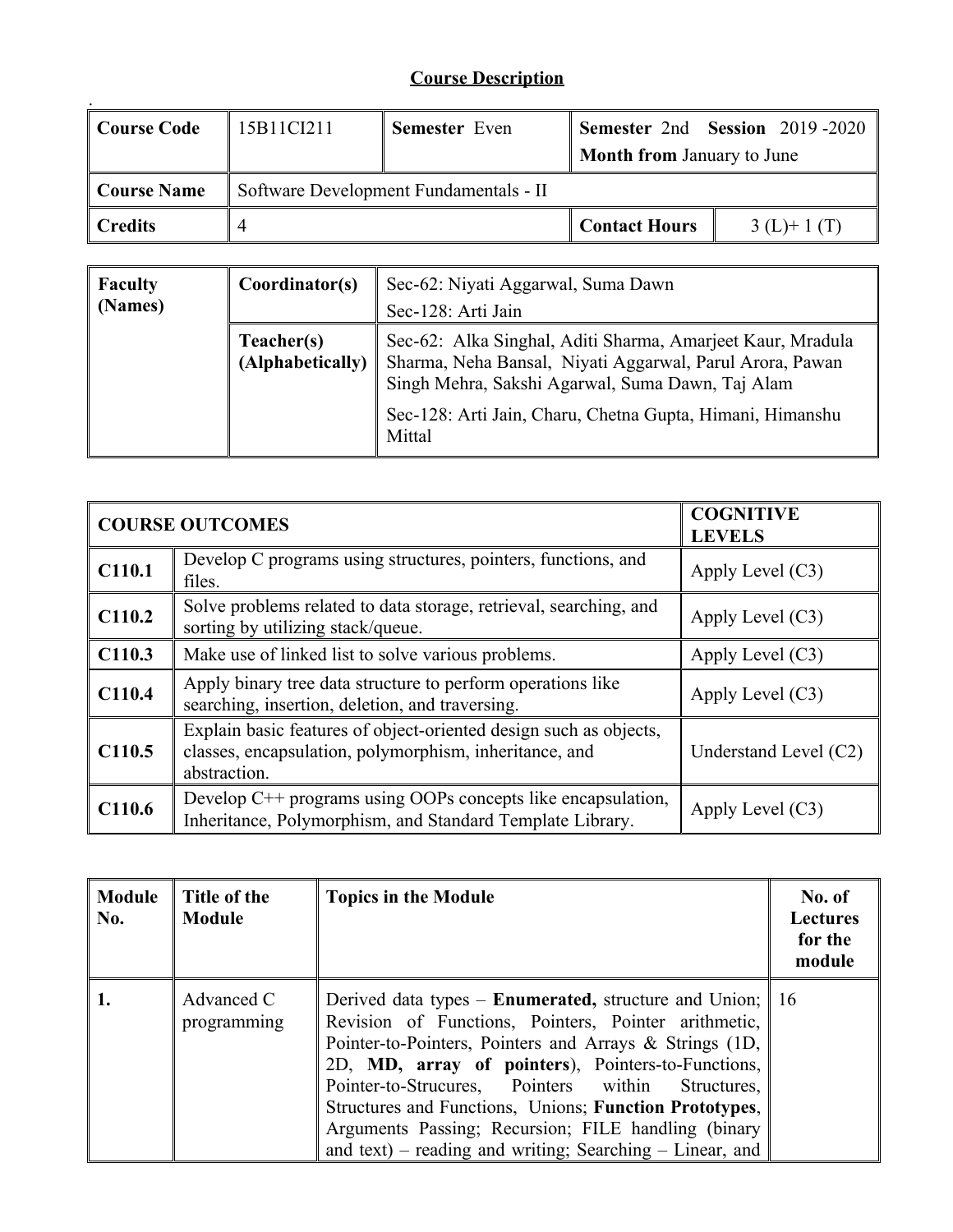## **Course Description**

| <b>Course Code</b> | 15B11CI211                             | <b>Semester</b> Even |                                   | Semester 2nd Session 2019-2020 |
|--------------------|----------------------------------------|----------------------|-----------------------------------|--------------------------------|
|                    |                                        |                      | <b>Month from January to June</b> |                                |
| <b>Course Name</b> | Software Development Fundamentals - II |                      |                                   |                                |
| <b>Credits</b>     |                                        |                      | <b>Contact Hours</b>              | $3(L)+1(T)$                    |

| <b>Faculty</b><br>(Names) | Coordinator(s)                 | Sec-62: Niyati Aggarwal, Suma Dawn<br>Sec-128: Arti Jain                                                                                                                                                                                |
|---------------------------|--------------------------------|-----------------------------------------------------------------------------------------------------------------------------------------------------------------------------------------------------------------------------------------|
|                           | Teacher(s)<br>(Alphabetically) | Sec-62: Alka Singhal, Aditi Sharma, Amarjeet Kaur, Mradula<br>Sharma, Neha Bansal, Niyati Aggarwal, Parul Arora, Pawan<br>Singh Mehra, Sakshi Agarwal, Suma Dawn, Taj Alam<br>Sec-128: Arti Jain, Charu, Chetna Gupta, Himani, Himanshu |
|                           |                                | Mittal                                                                                                                                                                                                                                  |

|                    | <b>COURSE OUTCOMES</b>                                                                                                                      | <b>COGNITIVE</b><br><b>LEVELS</b> |
|--------------------|---------------------------------------------------------------------------------------------------------------------------------------------|-----------------------------------|
| C110.1             | Develop C programs using structures, pointers, functions, and<br>files.                                                                     | Apply Level $(C3)$                |
| C110.2             | Solve problems related to data storage, retrieval, searching, and<br>sorting by utilizing stack/queue.                                      | Apply Level $(C3)$                |
| C110.3             | Make use of linked list to solve various problems.                                                                                          | Apply Level $(C3)$                |
| C110.4             | Apply binary tree data structure to perform operations like<br>searching, insertion, deletion, and traversing.                              | Apply Level $(C3)$                |
| C <sub>110.5</sub> | Explain basic features of object-oriented design such as objects,<br>classes, encapsulation, polymorphism, inheritance, and<br>abstraction. | Understand Level (C2)             |
| C110.6             | Develop C++ programs using OOPs concepts like encapsulation,<br>Inheritance, Polymorphism, and Standard Template Library.                   | Apply Level $(C3)$                |

| Module<br>No. | Title of the<br><b>Module</b> | <b>Topics in the Module</b>                                                                                                                                                                                                                                                                                                                                                                                                                                                    | No. of<br><b>Lectures</b><br>for the<br>module |
|---------------|-------------------------------|--------------------------------------------------------------------------------------------------------------------------------------------------------------------------------------------------------------------------------------------------------------------------------------------------------------------------------------------------------------------------------------------------------------------------------------------------------------------------------|------------------------------------------------|
|               | Advanced C<br>programming     | Derived data types – <b>Enumerated</b> , structure and Union; 16<br>Revision of Functions, Pointers, Pointer arithmetic,<br>Pointer-to-Pointers, Pointers and Arrays & Strings (1D,<br>2D, MD, array of pointers), Pointers-to-Functions,<br>Pointer-to-Strucures, Pointers within<br>Structures,<br>Structures and Functions, Unions; Function Prototypes,<br>Arguments Passing; Recursion; FILE handling (binary<br>and text) – reading and writing; Searching – Linear, and |                                                |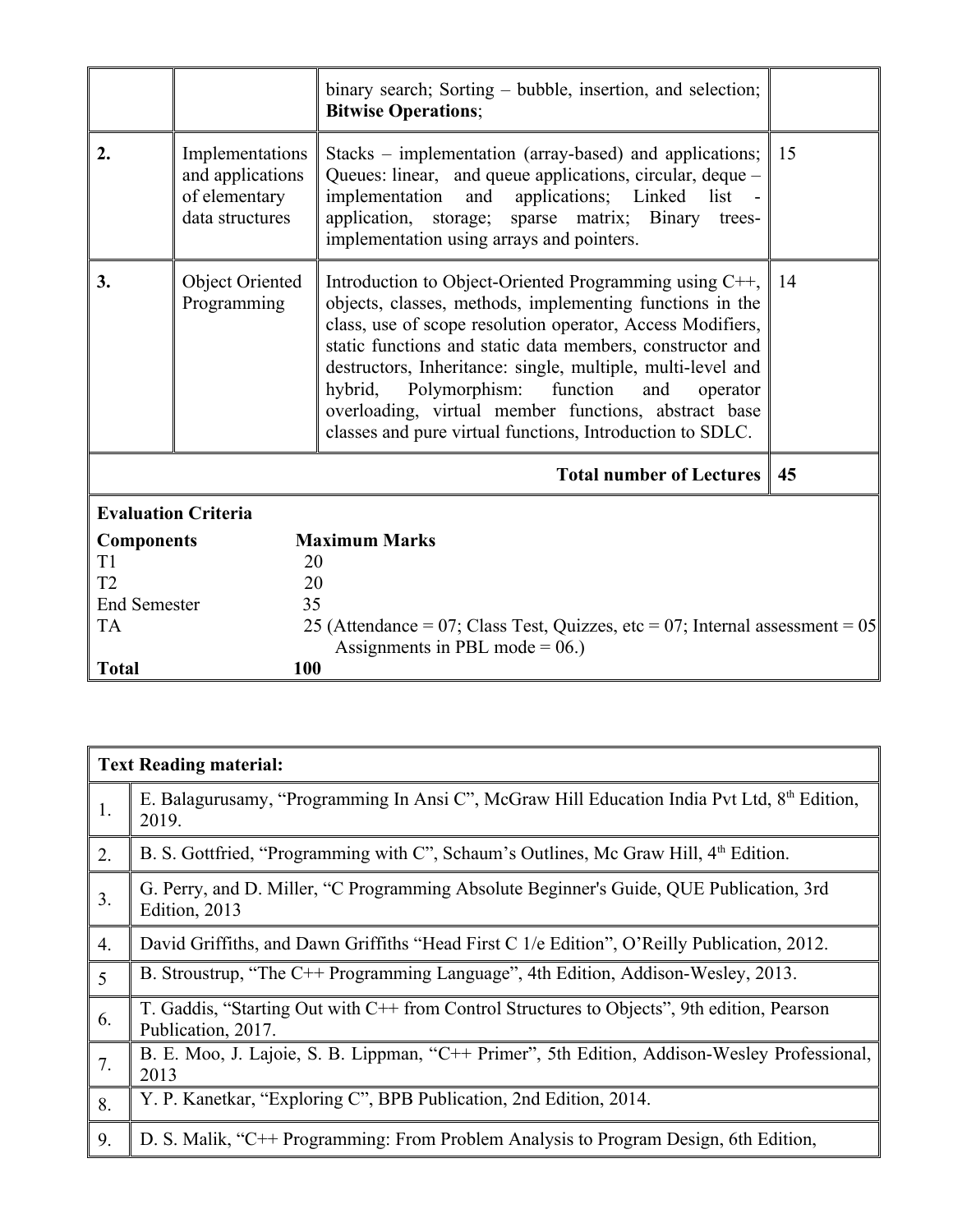|                     |                                                                         | binary search; Sorting – bubble, insertion, and selection;<br><b>Bitwise Operations;</b>                                                                                                                                                                                                                                                                                                                                                                                               |    |
|---------------------|-------------------------------------------------------------------------|----------------------------------------------------------------------------------------------------------------------------------------------------------------------------------------------------------------------------------------------------------------------------------------------------------------------------------------------------------------------------------------------------------------------------------------------------------------------------------------|----|
| 2.                  | Implementations<br>and applications<br>of elementary<br>data structures | Stacks – implementation (array-based) and applications;<br>Queues: linear, and queue applications, circular, deque –<br>implementation and applications; Linked list -<br>application, storage; sparse matrix; Binary trees-<br>implementation using arrays and pointers.                                                                                                                                                                                                              | 15 |
| 3.                  | <b>Object Oriented</b><br>Programming                                   | Introduction to Object-Oriented Programming using C++,<br>objects, classes, methods, implementing functions in the<br>class, use of scope resolution operator, Access Modifiers,<br>static functions and static data members, constructor and<br>destructors, Inheritance: single, multiple, multi-level and<br>hybrid, Polymorphism: function<br>and<br>operator<br>overloading, virtual member functions, abstract base<br>classes and pure virtual functions, Introduction to SDLC. | 14 |
|                     |                                                                         | <b>Total number of Lectures</b>                                                                                                                                                                                                                                                                                                                                                                                                                                                        | 45 |
|                     | <b>Evaluation Criteria</b>                                              |                                                                                                                                                                                                                                                                                                                                                                                                                                                                                        |    |
| <b>Components</b>   |                                                                         | <b>Maximum Marks</b>                                                                                                                                                                                                                                                                                                                                                                                                                                                                   |    |
| T1                  | 20                                                                      |                                                                                                                                                                                                                                                                                                                                                                                                                                                                                        |    |
| T2                  | 20                                                                      |                                                                                                                                                                                                                                                                                                                                                                                                                                                                                        |    |
| <b>End Semester</b> | 35                                                                      |                                                                                                                                                                                                                                                                                                                                                                                                                                                                                        |    |
| <b>TA</b>           |                                                                         | 25 (Attendance = $07$ ; Class Test, Quizzes, etc = $07$ ; Internal assessment = $05$                                                                                                                                                                                                                                                                                                                                                                                                   |    |
|                     |                                                                         | Assignments in PBL mode = $06$ .)                                                                                                                                                                                                                                                                                                                                                                                                                                                      |    |
| <b>Total</b>        | 100                                                                     |                                                                                                                                                                                                                                                                                                                                                                                                                                                                                        |    |

|                | <b>Text Reading material:</b>                                                                                     |
|----------------|-------------------------------------------------------------------------------------------------------------------|
| 1.             | E. Balagurusamy, "Programming In Ansi C", McGraw Hill Education India Pvt Ltd, 8 <sup>th</sup> Edition,<br>2019.  |
| 2.             | B. S. Gottfried, "Programming with C", Schaum's Outlines, Mc Graw Hill, 4 <sup>th</sup> Edition.                  |
| 3.             | G. Perry, and D. Miller, "C Programming Absolute Beginner's Guide, QUE Publication, 3rd<br>Edition, 2013          |
| 4.             | David Griffiths, and Dawn Griffiths "Head First C 1/e Edition", O'Reilly Publication, 2012.                       |
| $\overline{5}$ | B. Stroustrup, "The C++ Programming Language", 4th Edition, Addison-Wesley, 2013.                                 |
| 6.             | T. Gaddis, "Starting Out with C++ from Control Structures to Objects", 9th edition, Pearson<br>Publication, 2017. |
| 7.             | B. E. Moo, J. Lajoie, S. B. Lippman, "C++ Primer", 5th Edition, Addison-Wesley Professional,<br>2013              |
| 8.             | Y. P. Kanetkar, "Exploring C", BPB Publication, 2nd Edition, 2014.                                                |
| 9.             | D. S. Malik, "C++ Programming: From Problem Analysis to Program Design, 6th Edition,                              |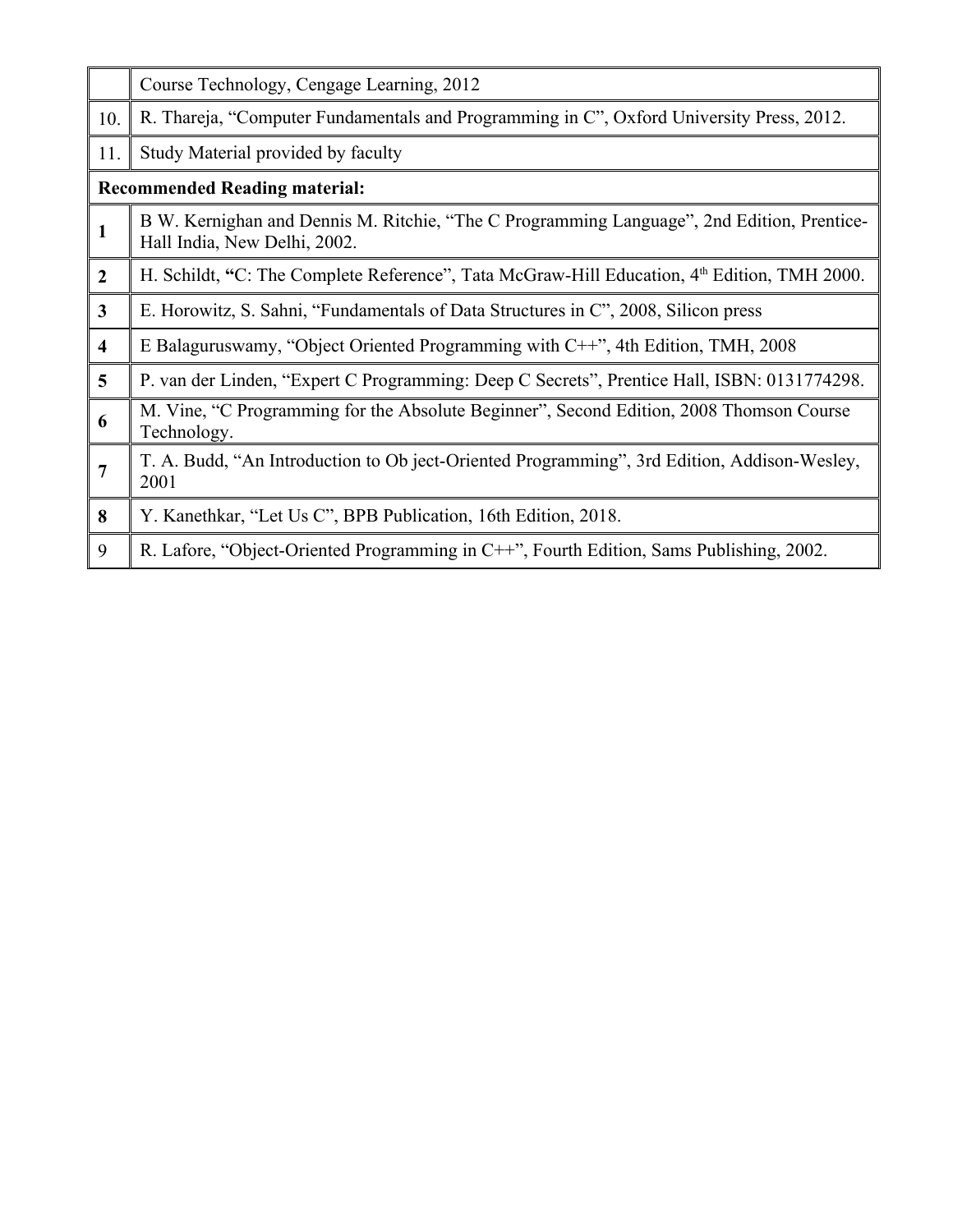|                         | Course Technology, Cengage Learning, 2012                                                                                  |
|-------------------------|----------------------------------------------------------------------------------------------------------------------------|
| 10.                     | R. Thareja, "Computer Fundamentals and Programming in C", Oxford University Press, 2012.                                   |
| 11.                     | Study Material provided by faculty                                                                                         |
|                         | <b>Recommended Reading material:</b>                                                                                       |
| $\mathbf{1}$            | B W. Kernighan and Dennis M. Ritchie, "The C Programming Language", 2nd Edition, Prentice-<br>Hall India, New Delhi, 2002. |
| $\boldsymbol{2}$        | H. Schildt, "C: The Complete Reference", Tata McGraw-Hill Education, 4 <sup>th</sup> Edition, TMH 2000.                    |
| $\mathbf{3}$            | E. Horowitz, S. Sahni, "Fundamentals of Data Structures in C", 2008, Silicon press                                         |
| $\overline{\mathbf{4}}$ | E Balaguruswamy, "Object Oriented Programming with C++", 4th Edition, TMH, 2008                                            |
| 5                       | P. van der Linden, "Expert C Programming: Deep C Secrets", Prentice Hall, ISBN: 0131774298.                                |
| 6                       | M. Vine, "C Programming for the Absolute Beginner", Second Edition, 2008 Thomson Course<br>Technology.                     |
| $\overline{7}$          | T. A. Budd, "An Introduction to Ob ject-Oriented Programming", 3rd Edition, Addison-Wesley,<br>2001                        |
| 8                       | Y. Kanethkar, "Let Us C", BPB Publication, 16th Edition, 2018.                                                             |
| 9                       | R. Lafore, "Object-Oriented Programming in C++", Fourth Edition, Sams Publishing, 2002.                                    |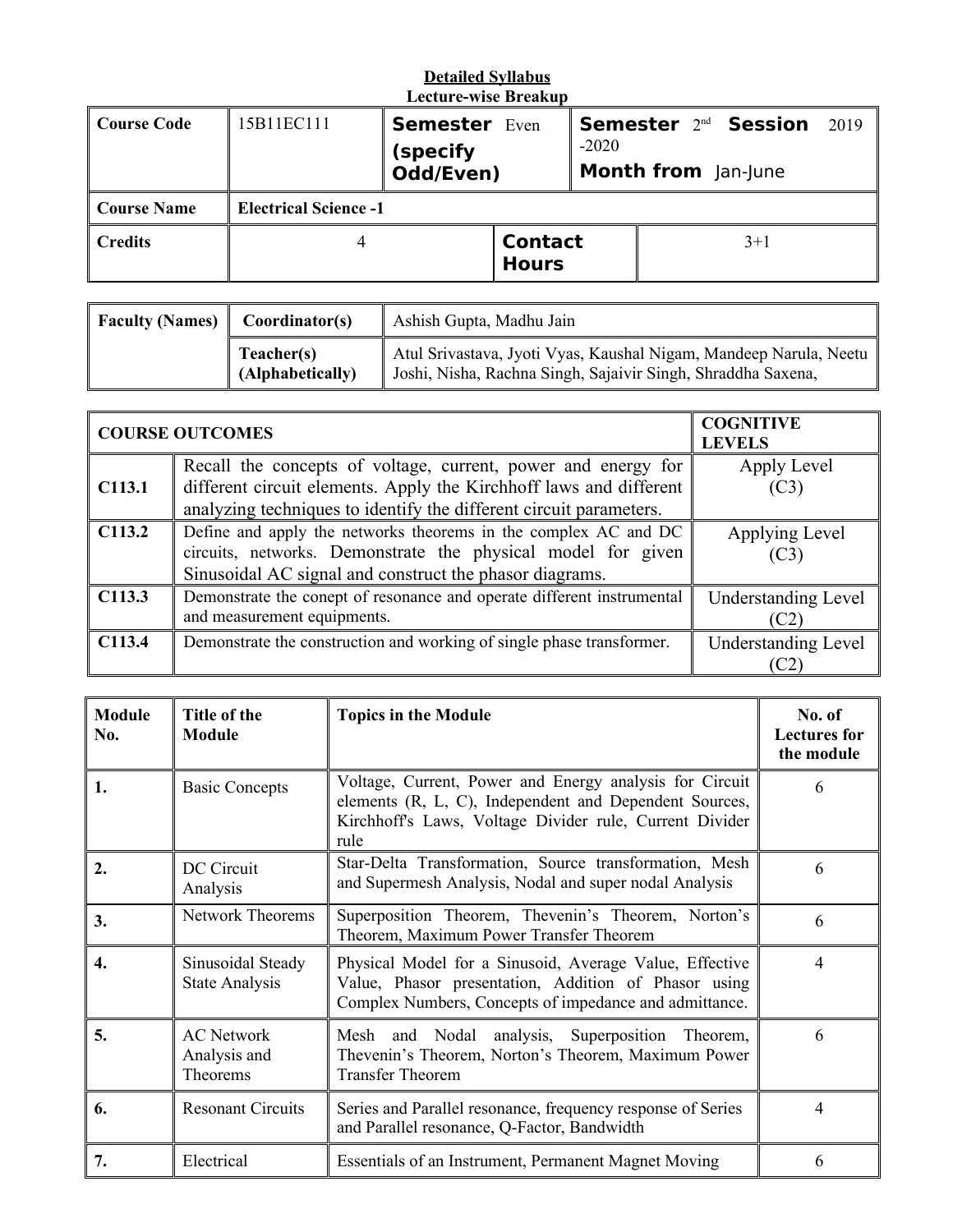# **Detailed Syllabus**

| <b>Lecture-wise Breakup</b> |                              |                      |                                |                            |                                  |      |
|-----------------------------|------------------------------|----------------------|--------------------------------|----------------------------|----------------------------------|------|
| <b>Course Code</b>          | 15B11EC111                   | <b>Semester Even</b> |                                |                            | Semester 2 <sup>nd</sup> Session | 2019 |
|                             |                              | (specify             | $-2020$                        |                            |                                  |      |
|                             |                              | Odd/Even)            |                                | <b>Month from</b> Jan-June |                                  |      |
| <b>Course Name</b>          | <b>Electrical Science -1</b> |                      |                                |                            |                                  |      |
| <b>Credits</b>              |                              |                      | <b>Contact</b><br><b>Hours</b> |                            | $3+1$                            |      |

| <b>Faculty (Names)</b><br>Coordinator(s) |                                | Ashish Gupta, Madhu Jain                                                                                                          |
|------------------------------------------|--------------------------------|-----------------------------------------------------------------------------------------------------------------------------------|
|                                          | Teacher(s)<br>(Alphabetically) | Atul Srivastava, Jyoti Vyas, Kaushal Nigam, Mandeep Narula, Neetu<br>Joshi, Nisha, Rachna Singh, Sajaivir Singh, Shraddha Saxena, |

|                    | <b>COURSE OUTCOMES</b>                                                                                                                                                                                    | <b>COGNITIVE</b><br><b>LEVELS</b>  |
|--------------------|-----------------------------------------------------------------------------------------------------------------------------------------------------------------------------------------------------------|------------------------------------|
| C113.1             | Recall the concepts of voltage, current, power and energy for<br>different circuit elements. Apply the Kirchhoff laws and different<br>analyzing techniques to identify the different circuit parameters. | Apply Level<br>(C3)                |
| C <sub>113.2</sub> | Define and apply the networks theorems in the complex AC and DC<br>circuits, networks. Demonstrate the physical model for given<br>Sinusoidal AC signal and construct the phasor diagrams.                | Applying Level<br>(C3)             |
| C113.3             | Demonstrate the conept of resonance and operate different instrumental<br>and measurement equipments.                                                                                                     | <b>Understanding Level</b><br>(C2) |
| C113.4             | Demonstrate the construction and working of single phase transformer.                                                                                                                                     | <b>Understanding Level</b><br>C2   |

| <b>Module</b><br>No. | Title of the<br><b>Module</b>                 | <b>Topics in the Module</b>                                                                                                                                                          | No. of<br><b>Lectures for</b><br>the module |
|----------------------|-----------------------------------------------|--------------------------------------------------------------------------------------------------------------------------------------------------------------------------------------|---------------------------------------------|
| 1.                   | <b>Basic Concepts</b>                         | Voltage, Current, Power and Energy analysis for Circuit<br>elements (R, L, C), Independent and Dependent Sources,<br>Kirchhoff's Laws, Voltage Divider rule, Current Divider<br>rule | 6                                           |
| 2.                   | DC Circuit<br>Analysis                        | Star-Delta Transformation, Source transformation, Mesh<br>and Supermesh Analysis, Nodal and super nodal Analysis                                                                     | 6                                           |
| 3.                   | <b>Network Theorems</b>                       | Superposition Theorem, Thevenin's Theorem, Norton's<br>Theorem, Maximum Power Transfer Theorem                                                                                       | 6                                           |
| 4.                   | Sinusoidal Steady<br><b>State Analysis</b>    | Physical Model for a Sinusoid, Average Value, Effective<br>Value, Phasor presentation, Addition of Phasor using<br>Complex Numbers, Concepts of impedance and admittance.            | 4                                           |
| 5.                   | <b>AC</b> Network<br>Analysis and<br>Theorems | Mesh and Nodal analysis, Superposition Theorem,<br>Thevenin's Theorem, Norton's Theorem, Maximum Power<br><b>Transfer Theorem</b>                                                    | 6                                           |
| 6.                   | <b>Resonant Circuits</b>                      | Series and Parallel resonance, frequency response of Series<br>and Parallel resonance, Q-Factor, Bandwidth                                                                           | 4                                           |
| 7.                   | Electrical                                    | Essentials of an Instrument, Permanent Magnet Moving                                                                                                                                 | 6                                           |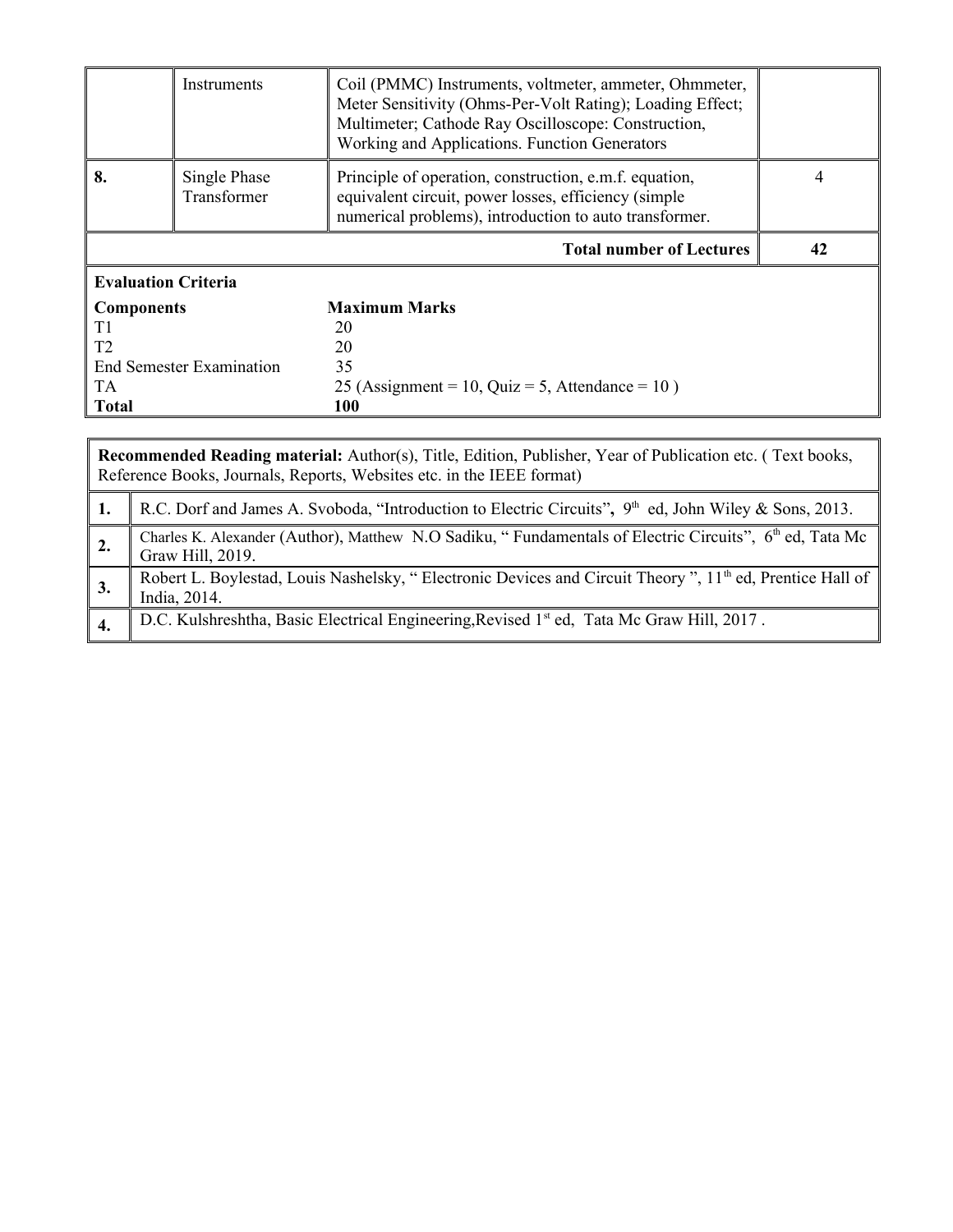|                                 | Instruments                 | Coil (PMMC) Instruments, voltmeter, ammeter, Ohmmeter,<br>Meter Sensitivity (Ohms-Per-Volt Rating); Loading Effect;<br>Multimeter; Cathode Ray Oscilloscope: Construction,<br>Working and Applications. Function Generators |    |  |
|---------------------------------|-----------------------------|-----------------------------------------------------------------------------------------------------------------------------------------------------------------------------------------------------------------------------|----|--|
| 8.                              | Single Phase<br>Transformer | Principle of operation, construction, e.m.f. equation,<br>equivalent circuit, power losses, efficiency (simple<br>numerical problems), introduction to auto transformer.                                                    | 4  |  |
|                                 |                             | <b>Total number of Lectures</b>                                                                                                                                                                                             | 42 |  |
| <b>Evaluation Criteria</b>      |                             |                                                                                                                                                                                                                             |    |  |
| <b>Components</b>               |                             | <b>Maximum Marks</b>                                                                                                                                                                                                        |    |  |
| T1                              |                             | 20                                                                                                                                                                                                                          |    |  |
| T <sub>2</sub>                  |                             | 20                                                                                                                                                                                                                          |    |  |
| <b>End Semester Examination</b> |                             | 35                                                                                                                                                                                                                          |    |  |
| TA.                             |                             | 25 (Assignment = 10, Quiz = 5, Attendance = $10$ )                                                                                                                                                                          |    |  |
| <b>Total</b>                    |                             | 100                                                                                                                                                                                                                         |    |  |

|                | Recommended Reading material: Author(s), Title, Edition, Publisher, Year of Publication etc. (Text books,<br>Reference Books, Journals, Reports, Websites etc. in the IEEE format) |  |  |  |  |  |  |
|----------------|------------------------------------------------------------------------------------------------------------------------------------------------------------------------------------|--|--|--|--|--|--|
|                | R.C. Dorf and James A. Svoboda, "Introduction to Electric Circuits", 9 <sup>th</sup> ed, John Wiley & Sons, 2013.                                                                  |  |  |  |  |  |  |
| $\perp$ 2.     | Charles K. Alexander (Author), Matthew N.O Sadiku, "Fundamentals of Electric Circuits", 6th ed, Tata Mc<br>Graw Hill, 2019.                                                        |  |  |  |  |  |  |
| $^{\prime}$ 3. | Robert L. Boylestad, Louis Nashelsky, "Electronic Devices and Circuit Theory", 11 <sup>th</sup> ed, Prentice Hall of<br>India, 2014.                                               |  |  |  |  |  |  |
|                | D.C. Kulshreshtha, Basic Electrical Engineering, Revised 1st ed, Tata Mc Graw Hill, 2017.                                                                                          |  |  |  |  |  |  |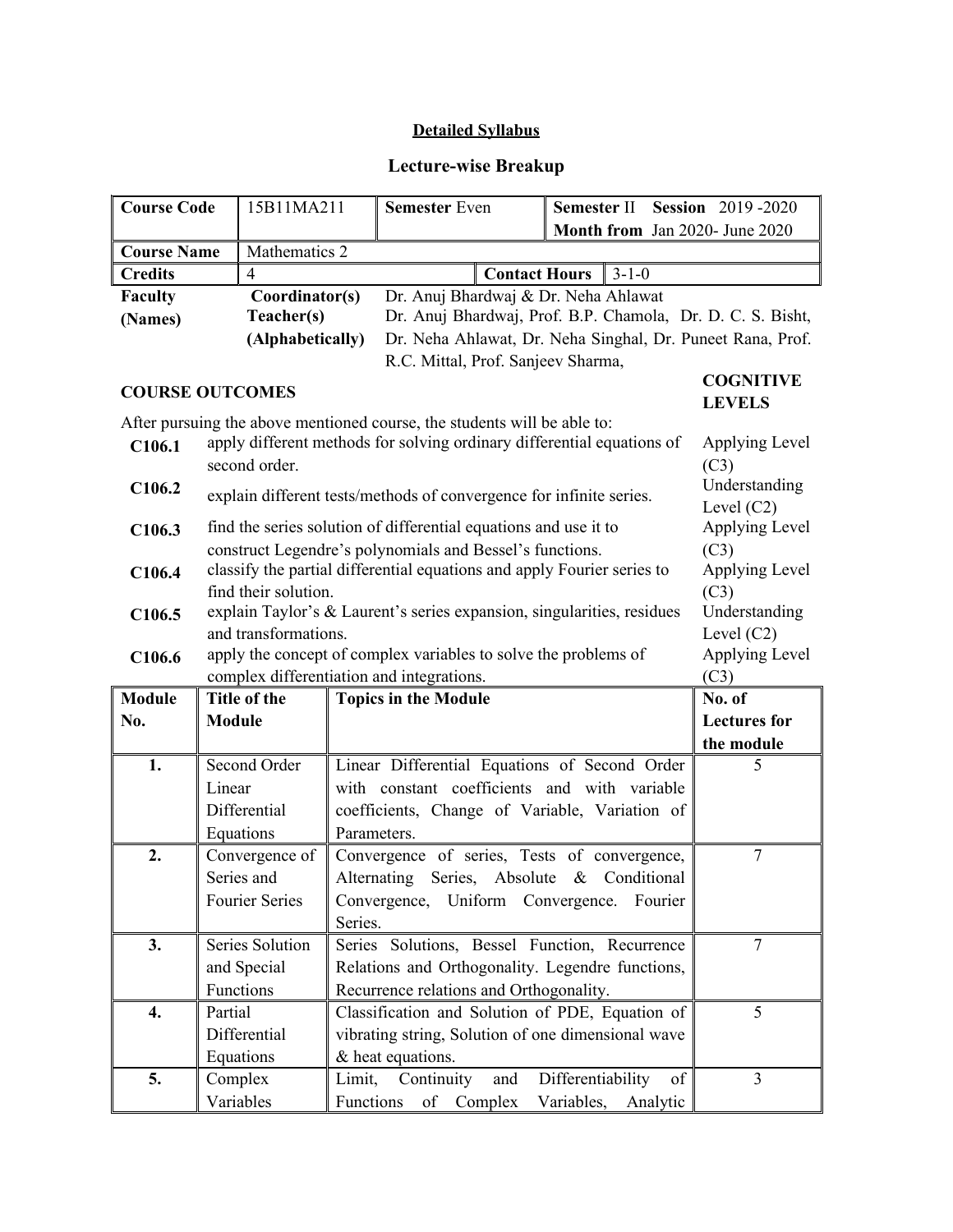## **Detailed Syllabus**

## **Lecture-wise Breakup**

| <b>Course Code</b>     |                                                                   | 15B11MA211           |             | <b>Semester Even</b>                                                     | Semester II       |               |          | <b>Session</b> 2019-2020 |
|------------------------|-------------------------------------------------------------------|----------------------|-------------|--------------------------------------------------------------------------|-------------------|---------------|----------|--------------------------|
|                        |                                                                   |                      |             | Month from Jan 2020- June 2020                                           |                   |               |          |                          |
| <b>Course Name</b>     |                                                                   | Mathematics 2        |             |                                                                          |                   |               |          |                          |
| <b>Credits</b>         |                                                                   | 4                    |             | <b>Contact Hours</b>                                                     |                   | $3 - 1 - 0$   |          |                          |
| <b>Faculty</b>         |                                                                   | Coordinator(s)       |             | Dr. Anuj Bhardwaj & Dr. Neha Ahlawat                                     |                   |               |          |                          |
| (Names)                |                                                                   | Teacher(s)           |             | Dr. Anuj Bhardwaj, Prof. B.P. Chamola, Dr. D. C. S. Bisht,               |                   |               |          |                          |
|                        |                                                                   | (Alphabetically)     |             | Dr. Neha Ahlawat, Dr. Neha Singhal, Dr. Puneet Rana, Prof.               |                   |               |          |                          |
|                        |                                                                   |                      |             | R.C. Mittal, Prof. Sanjeev Sharma,                                       |                   |               |          |                          |
| <b>COURSE OUTCOMES</b> |                                                                   |                      |             |                                                                          |                   |               |          | <b>COGNITIVE</b>         |
|                        |                                                                   |                      |             | After pursuing the above mentioned course, the students will be able to: |                   |               |          | <b>LEVELS</b>            |
| C106.1                 |                                                                   |                      |             | apply different methods for solving ordinary differential equations of   |                   |               |          | Applying Level           |
|                        |                                                                   | second order.        |             |                                                                          |                   |               |          | (C3)                     |
| C106.2                 |                                                                   |                      |             |                                                                          |                   |               |          | Understanding            |
|                        |                                                                   |                      |             | explain different tests/methods of convergence for infinite series.      |                   |               |          | Level $(C2)$             |
| C106.3                 |                                                                   |                      |             | find the series solution of differential equations and use it to         |                   |               |          | Applying Level           |
|                        |                                                                   |                      |             | construct Legendre's polynomials and Bessel's functions.                 |                   |               |          | (C3)                     |
| C106.4                 |                                                                   |                      |             | classify the partial differential equations and apply Fourier series to  |                   |               |          | Applying Level           |
|                        |                                                                   | find their solution. |             |                                                                          |                   |               |          | (C3)                     |
| C106.5                 |                                                                   |                      |             | explain Taylor's & Laurent's series expansion, singularities, residues   |                   |               |          | Understanding            |
|                        |                                                                   | and transformations. |             |                                                                          |                   |               |          | Level $(C2)$             |
| C106.6                 |                                                                   |                      |             | apply the concept of complex variables to solve the problems of          |                   |               |          | Applying Level           |
|                        | complex differentiation and integrations.<br>(C3)<br>Title of the |                      |             |                                                                          |                   |               |          |                          |
| <b>Module</b>          |                                                                   |                      |             | <b>Topics in the Module</b>                                              |                   |               |          | No. of                   |
| No.                    | <b>Module</b>                                                     |                      |             |                                                                          |                   |               |          | <b>Lectures</b> for      |
| 1.                     |                                                                   | Second Order         |             | Linear Differential Equations of Second Order                            |                   |               |          | the module<br>5          |
|                        | Linear                                                            |                      |             | with constant coefficients and with variable                             |                   |               |          |                          |
|                        |                                                                   | Differential         |             | coefficients, Change of Variable, Variation of                           |                   |               |          |                          |
|                        |                                                                   | Equations            | Parameters. |                                                                          |                   |               |          |                          |
| 2.                     |                                                                   | Convergence of       |             | Convergence of series, Tests of convergence,                             |                   |               |          | $\overline{7}$           |
|                        |                                                                   | Series and           |             | Alternating<br>Series, Absolute                                          |                   | & Conditional |          |                          |
|                        |                                                                   |                      |             | Convergence,<br>Uniform Convergence.                                     |                   |               | Fourier  |                          |
| <b>Fourier Series</b>  |                                                                   |                      | Series.     |                                                                          |                   |               |          |                          |
| 3.                     |                                                                   | Series Solution      |             | Series Solutions, Bessel Function, Recurrence                            |                   |               |          | $\overline{7}$           |
| and Special            |                                                                   |                      |             | Relations and Orthogonality. Legendre functions,                         |                   |               |          |                          |
| Functions              |                                                                   |                      |             | Recurrence relations and Orthogonality.                                  |                   |               |          |                          |
| Partial<br>4.          |                                                                   |                      |             | Classification and Solution of PDE, Equation of                          |                   |               |          | 5                        |
|                        |                                                                   | Differential         |             | vibrating string, Solution of one dimensional wave                       |                   |               |          |                          |
|                        |                                                                   | Equations            |             | & heat equations.                                                        |                   |               |          |                          |
| 5.                     |                                                                   | Complex              | Limit,      | Continuity<br>and                                                        | Differentiability |               | of       | $\overline{3}$           |
|                        |                                                                   | Variables            | Functions   | of Complex                                                               | Variables,        |               | Analytic |                          |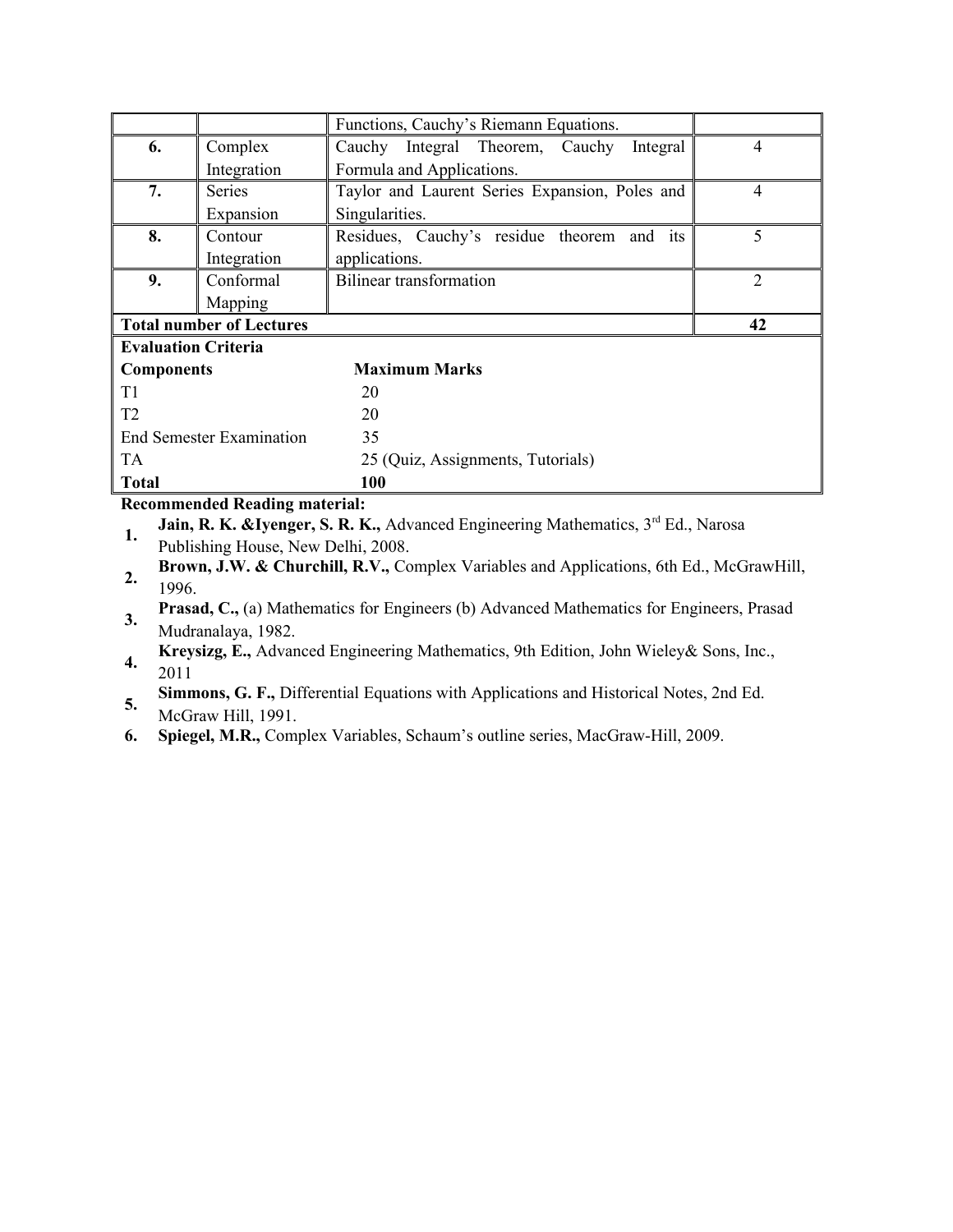|                                 |                                 | Functions, Cauchy's Riemann Equations.         |                |  |
|---------------------------------|---------------------------------|------------------------------------------------|----------------|--|
| 6.                              | Complex                         | Cauchy Integral Theorem, Cauchy<br>Integral    | 4              |  |
|                                 | Integration                     | Formula and Applications.                      |                |  |
| 7.                              | <b>Series</b>                   | Taylor and Laurent Series Expansion, Poles and | 4              |  |
|                                 | Expansion                       | Singularities.                                 |                |  |
| 8.                              | Contour                         | Residues, Cauchy's residue theorem and<br>its  | 5              |  |
|                                 | Integration                     | applications.                                  |                |  |
| 9.                              | Conformal                       | <b>Bilinear transformation</b>                 | $\overline{2}$ |  |
|                                 | Mapping                         |                                                |                |  |
|                                 | <b>Total number of Lectures</b> |                                                |                |  |
| <b>Evaluation Criteria</b>      |                                 |                                                |                |  |
| <b>Components</b>               |                                 | <b>Maximum Marks</b>                           |                |  |
| T <sub>1</sub>                  |                                 | 20                                             |                |  |
| T <sub>2</sub>                  |                                 | 20                                             |                |  |
| <b>End Semester Examination</b> |                                 | 35                                             |                |  |
| <b>TA</b>                       |                                 | 25 (Quiz, Assignments, Tutorials)              |                |  |
| <b>Total</b>                    |                                 | 100                                            |                |  |

#### **Recommended Reading material:**

**1. Jain, R. K. &Iyenger, S. R. K.,** Advanced Engineering Mathematics, 3<sup>rd</sup> Ed., Narosa

Publishing House, New Delhi, 2008.

- **2. Brown, J.W. & Churchill, R.V.,** Complex Variables and Applications, 6th Ed., McGrawHill, 1996.
- **3. Prasad, C.,** (a) Mathematics for Engineers (b) Advanced Mathematics for Engineers, Prasad Mudranalaya, 1982.
- **4. Kreysizg, E.,** Advanced Engineering Mathematics, 9th Edition, John Wieley& Sons, Inc., 2011
- **5. Simmons, G. F.,** Differential Equations with Applications and Historical Notes, 2nd Ed. McGraw Hill, 1991.
- **6. Spiegel, M.R.,** Complex Variables, Schaum's outline series, MacGraw-Hill, 2009.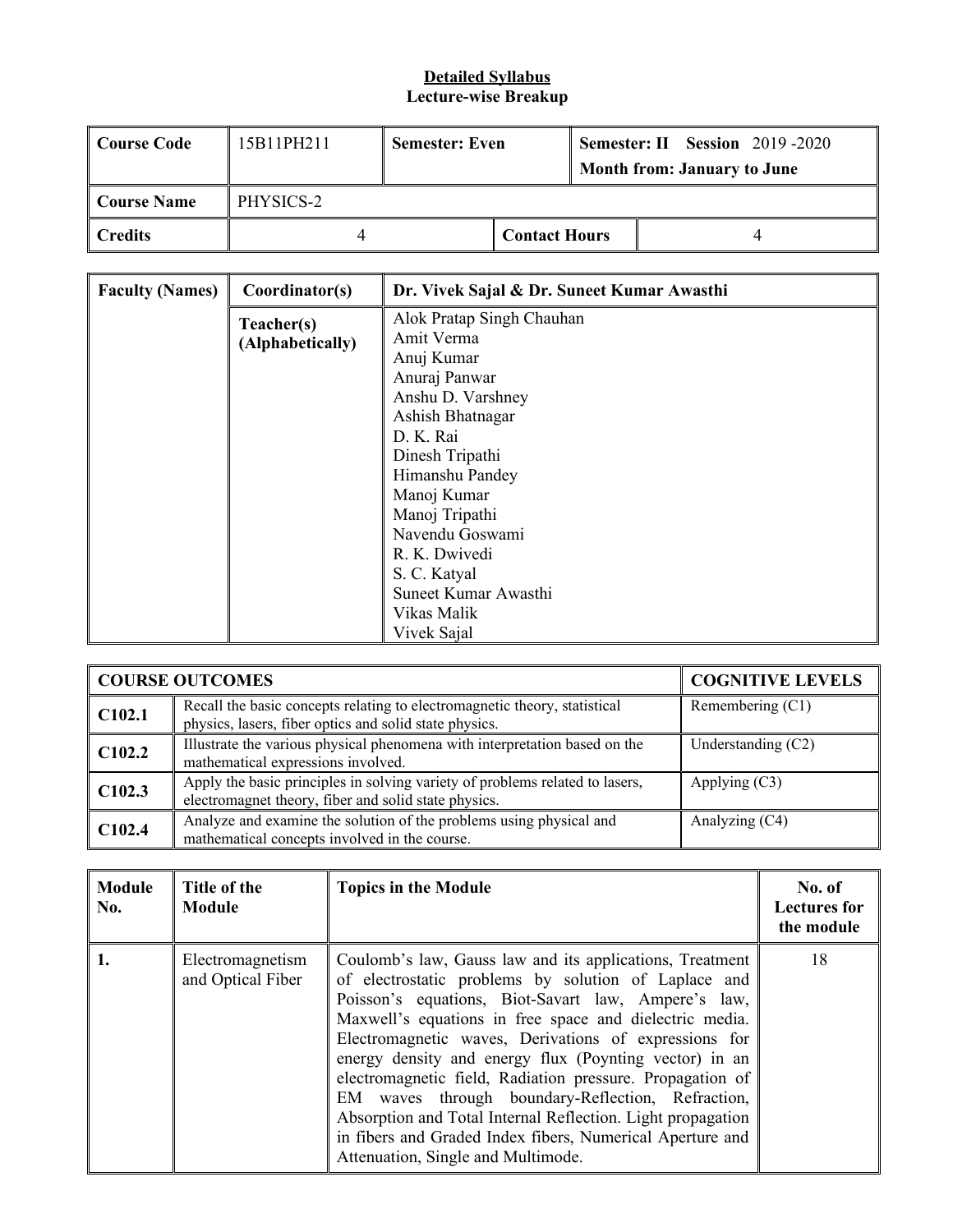### **Detailed Syllabus Lecture-wise Breakup**

| Course Code | 15B11PH211 | <b>Semester: Even</b> |                      | <b>Semester: II Session 2019 -2020</b><br><b>Month from: January to June</b> |
|-------------|------------|-----------------------|----------------------|------------------------------------------------------------------------------|
| Course Name | PHYSICS-2  |                       |                      |                                                                              |
| Credits     |            |                       | <b>Contact Hours</b> |                                                                              |

| <b>Faculty (Names)</b> | Coordinator(s)   | Dr. Vivek Sajal & Dr. Suneet Kumar Awasthi |
|------------------------|------------------|--------------------------------------------|
|                        | Teacher(s)       | Alok Pratap Singh Chauhan                  |
|                        | (Alphabetically) | Amit Verma                                 |
|                        |                  | Anuj Kumar                                 |
|                        |                  | Anuraj Panwar                              |
|                        |                  | Anshu D. Varshney                          |
|                        |                  | Ashish Bhatnagar                           |
|                        |                  | D. K. Rai                                  |
|                        |                  | Dinesh Tripathi                            |
|                        |                  | Himanshu Pandey                            |
|                        |                  | Manoj Kumar                                |
|                        |                  | Manoj Tripathi                             |
|                        |                  | Navendu Goswami                            |
|                        |                  | R. K. Dwivedi                              |
|                        |                  | S. C. Katyal                               |
|                        |                  | Suneet Kumar Awasthi                       |
|                        |                  | Vikas Malik                                |
|                        |                  | Vivek Sajal                                |

|        | <b>COURSE OUTCOMES</b>                                                                                                               | <b>COGNITIVE LEVELS</b> |
|--------|--------------------------------------------------------------------------------------------------------------------------------------|-------------------------|
| C102.1 | Recall the basic concepts relating to electromagnetic theory, statistical<br>physics, lasers, fiber optics and solid state physics.  | Remembering (C1)        |
| C102.2 | Illustrate the various physical phenomena with interpretation based on the<br>mathematical expressions involved.                     | Understanding $(C2)$    |
| C102.3 | Apply the basic principles in solving variety of problems related to lasers,<br>electromagnet theory, fiber and solid state physics. | Applying $(C3)$         |
| C102.4 | Analyze and examine the solution of the problems using physical and<br>mathematical concepts involved in the course.                 | Analyzing (C4)          |

| <b>Module</b><br>No. | Title of the<br>Module                | <b>Topics in the Module</b>                                                                                                                                                                                                                                                                                                                                                                                                                                                                                                                                                                                                               | No. of<br><b>Lectures for</b><br>the module |
|----------------------|---------------------------------------|-------------------------------------------------------------------------------------------------------------------------------------------------------------------------------------------------------------------------------------------------------------------------------------------------------------------------------------------------------------------------------------------------------------------------------------------------------------------------------------------------------------------------------------------------------------------------------------------------------------------------------------------|---------------------------------------------|
|                      | Electromagnetism<br>and Optical Fiber | Coulomb's law, Gauss law and its applications, Treatment<br>of electrostatic problems by solution of Laplace and<br>Poisson's equations, Biot-Savart law, Ampere's law,<br>Maxwell's equations in free space and dielectric media.<br>Electromagnetic waves, Derivations of expressions for<br>energy density and energy flux (Poynting vector) in an<br>electromagnetic field, Radiation pressure. Propagation of<br>EM waves through boundary-Reflection, Refraction,<br>Absorption and Total Internal Reflection. Light propagation<br>in fibers and Graded Index fibers, Numerical Aperture and<br>Attenuation, Single and Multimode. | 18                                          |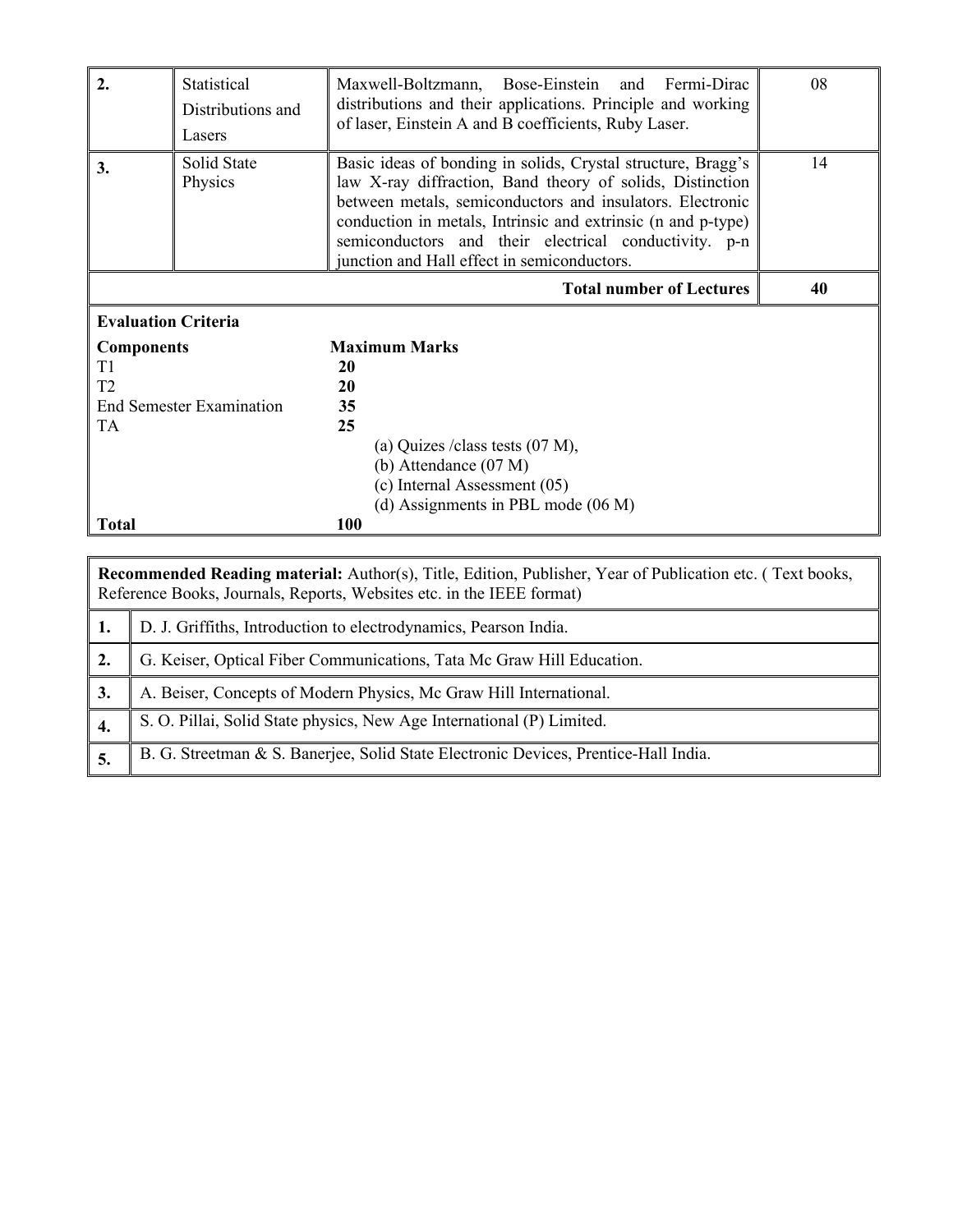| 2.                         | Statistical<br>Distributions and<br>Lasers | Maxwell-Boltzmann, Bose-Einstein and Fermi-Dirac<br>distributions and their applications. Principle and working<br>of laser, Einstein A and B coefficients, Ruby Laser.                                                                                                                                                                                        | 08 |  |  |  |
|----------------------------|--------------------------------------------|----------------------------------------------------------------------------------------------------------------------------------------------------------------------------------------------------------------------------------------------------------------------------------------------------------------------------------------------------------------|----|--|--|--|
| 3.                         | Solid State<br>Physics                     | Basic ideas of bonding in solids, Crystal structure, Bragg's<br>law X-ray diffraction, Band theory of solids, Distinction<br>between metals, semiconductors and insulators. Electronic<br>conduction in metals, Intrinsic and extrinsic (n and p-type)<br>semiconductors and their electrical conductivity. p-n<br>junction and Hall effect in semiconductors. | 14 |  |  |  |
|                            | 40<br><b>Total number of Lectures</b>      |                                                                                                                                                                                                                                                                                                                                                                |    |  |  |  |
| <b>Evaluation Criteria</b> |                                            |                                                                                                                                                                                                                                                                                                                                                                |    |  |  |  |
| <b>Components</b>          |                                            | <b>Maximum Marks</b>                                                                                                                                                                                                                                                                                                                                           |    |  |  |  |
| T1                         |                                            | 20                                                                                                                                                                                                                                                                                                                                                             |    |  |  |  |
| T <sub>2</sub>             |                                            | 20                                                                                                                                                                                                                                                                                                                                                             |    |  |  |  |
|                            | <b>End Semester Examination</b>            | 35                                                                                                                                                                                                                                                                                                                                                             |    |  |  |  |
| <b>TA</b>                  |                                            | 25                                                                                                                                                                                                                                                                                                                                                             |    |  |  |  |
|                            |                                            | (a) Quizes / class tests $(07 M)$ ,                                                                                                                                                                                                                                                                                                                            |    |  |  |  |
|                            |                                            | (b) Attendance $(07 M)$                                                                                                                                                                                                                                                                                                                                        |    |  |  |  |
|                            |                                            | (c) Internal Assessment (05)                                                                                                                                                                                                                                                                                                                                   |    |  |  |  |
| <b>Total</b>               |                                            | (d) Assignments in PBL mode (06 M)<br>100                                                                                                                                                                                                                                                                                                                      |    |  |  |  |
|                            |                                            |                                                                                                                                                                                                                                                                                                                                                                |    |  |  |  |

|     | <b>Recommended Reading material:</b> Author(s), Title, Edition, Publisher, Year of Publication etc. (Text books,<br>Reference Books, Journals, Reports, Websites etc. in the IEEE format) |  |  |  |  |  |  |
|-----|-------------------------------------------------------------------------------------------------------------------------------------------------------------------------------------------|--|--|--|--|--|--|
|     | D. J. Griffiths, Introduction to electrodynamics, Pearson India.                                                                                                                          |  |  |  |  |  |  |
| 2.  | G. Keiser, Optical Fiber Communications, Tata Mc Graw Hill Education.                                                                                                                     |  |  |  |  |  |  |
| 3.  | A. Beiser, Concepts of Modern Physics, Mc Graw Hill International.                                                                                                                        |  |  |  |  |  |  |
| -4. | S. O. Pillai, Solid State physics, New Age International (P) Limited.                                                                                                                     |  |  |  |  |  |  |
| 5.  | B. G. Streetman & S. Banerjee, Solid State Electronic Devices, Prentice-Hall India.                                                                                                       |  |  |  |  |  |  |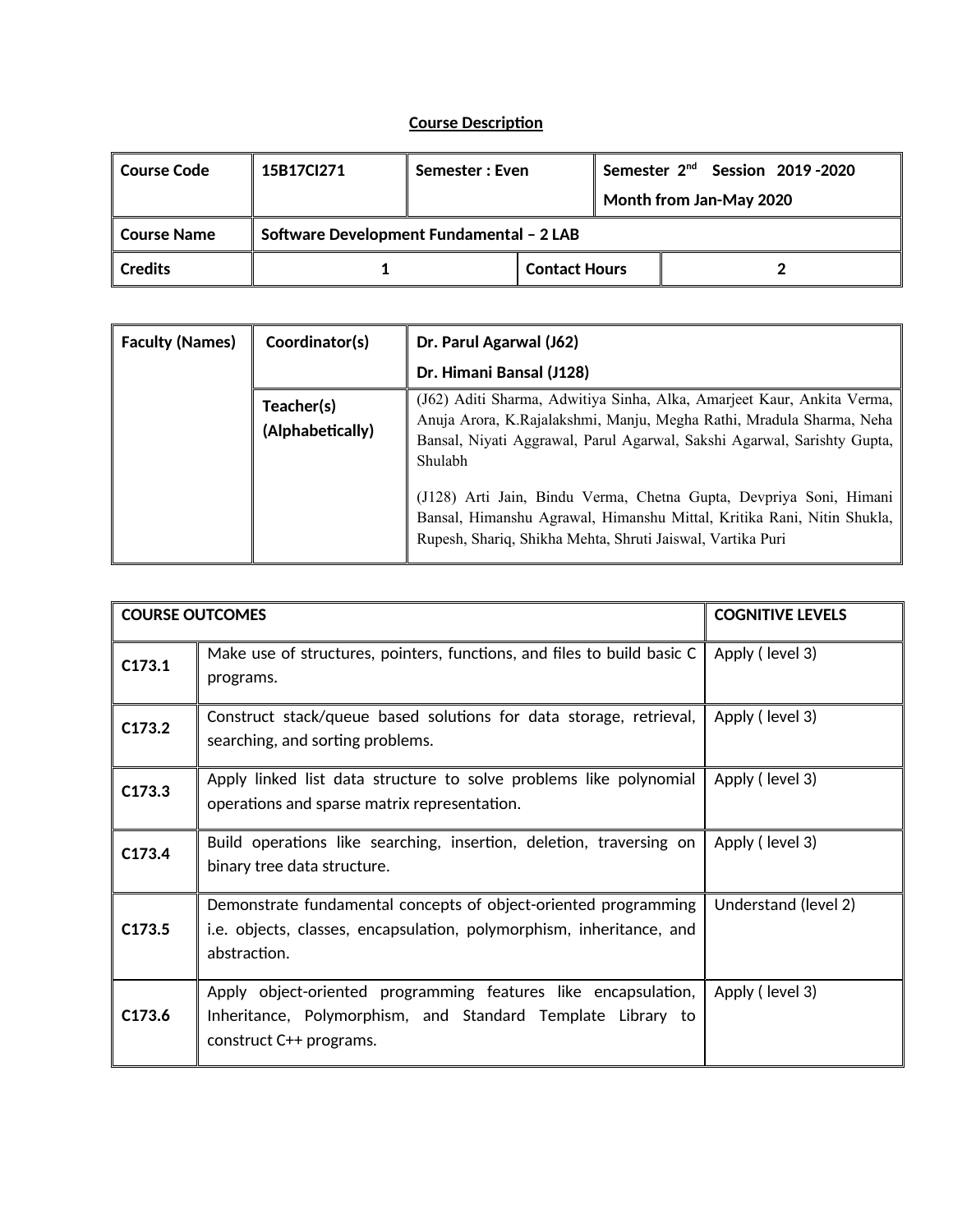## **Course Description**

| ∣ Course Code  | 15B17Cl271                               | Semester: Even |                      | Semester 2 <sup>nd</sup> Session 2019-2020 |  |  |  |
|----------------|------------------------------------------|----------------|----------------------|--------------------------------------------|--|--|--|
|                |                                          |                |                      | Month from Jan-May 2020                    |  |  |  |
| Course Name    | Software Development Fundamental - 2 LAB |                |                      |                                            |  |  |  |
| <b>Credits</b> |                                          |                | <b>Contact Hours</b> |                                            |  |  |  |

| <b>Faculty (Names)</b> | Coordinator(s)                 | Dr. Parul Agarwal (J62)                                                                                                                                                                                                                                                                                                                                                                                                                            |
|------------------------|--------------------------------|----------------------------------------------------------------------------------------------------------------------------------------------------------------------------------------------------------------------------------------------------------------------------------------------------------------------------------------------------------------------------------------------------------------------------------------------------|
|                        |                                | Dr. Himani Bansal (J128)                                                                                                                                                                                                                                                                                                                                                                                                                           |
|                        | Teacher(s)<br>(Alphabetically) | (J62) Aditi Sharma, Adwitiya Sinha, Alka, Amarjeet Kaur, Ankita Verma,<br>Anuja Arora, K.Rajalakshmi, Manju, Megha Rathi, Mradula Sharma, Neha<br>Bansal, Niyati Aggrawal, Parul Agarwal, Sakshi Agarwal, Sarishty Gupta,<br>Shulabh<br>(J128) Arti Jain, Bindu Verma, Chetna Gupta, Devpriya Soni, Himani<br>Bansal, Himanshu Agrawal, Himanshu Mittal, Kritika Rani, Nitin Shukla,<br>Rupesh, Shariq, Shikha Mehta, Shruti Jaiswal, Vartika Puri |

| <b>COURSE OUTCOMES</b> |                                                                                                                                                          | <b>COGNITIVE LEVELS</b> |
|------------------------|----------------------------------------------------------------------------------------------------------------------------------------------------------|-------------------------|
| C173.1                 | Make use of structures, pointers, functions, and files to build basic C<br>programs.                                                                     | Apply (level 3)         |
| C173.2                 | Construct stack/queue based solutions for data storage, retrieval,<br>searching, and sorting problems.                                                   | Apply (level 3)         |
| C173.3                 | Apply linked list data structure to solve problems like polynomial<br>operations and sparse matrix representation.                                       | Apply (level 3)         |
| C173.4                 | Build operations like searching, insertion, deletion, traversing on<br>binary tree data structure.                                                       | Apply (level 3)         |
| C173.5                 | Demonstrate fundamental concepts of object-oriented programming<br>i.e. objects, classes, encapsulation, polymorphism, inheritance, and<br>abstraction.  | Understand (level 2)    |
| C173.6                 | Apply object-oriented programming features like encapsulation,<br>Inheritance, Polymorphism, and Standard Template Library to<br>construct C++ programs. | Apply (level 3)         |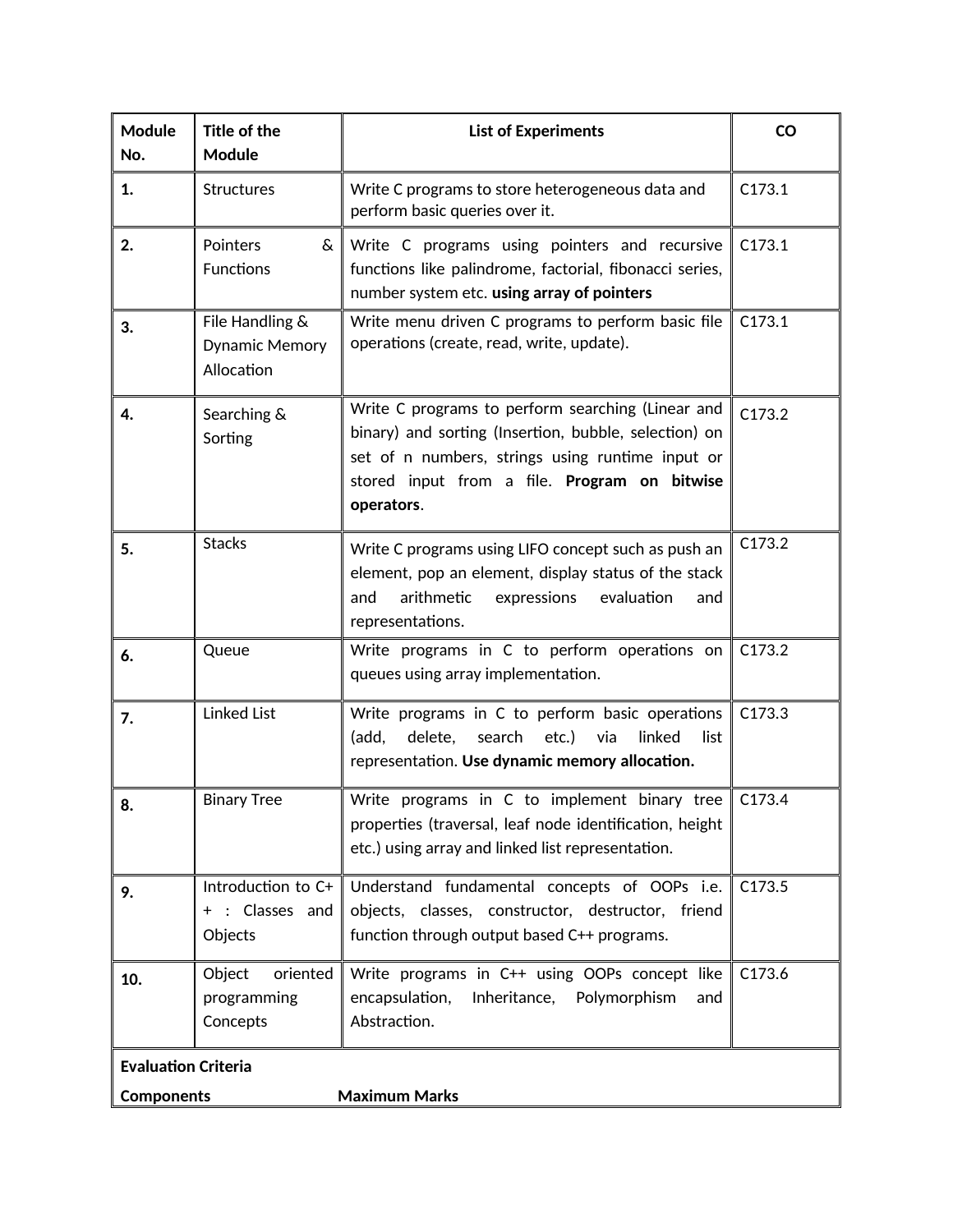| <b>Module</b><br>No.                            | Title of the<br><b>Module</b>                   | <b>List of Experiments</b>                                                                                                                                                                                                   | <b>CO</b> |
|-------------------------------------------------|-------------------------------------------------|------------------------------------------------------------------------------------------------------------------------------------------------------------------------------------------------------------------------------|-----------|
| 1.                                              | <b>Structures</b>                               | Write C programs to store heterogeneous data and<br>perform basic queries over it.                                                                                                                                           | C173.1    |
| 2.                                              | Pointers<br>&<br><b>Functions</b>               | Write C programs using pointers and recursive<br>functions like palindrome, factorial, fibonacci series,<br>number system etc. using array of pointers                                                                       | C173.1    |
| 3.                                              | File Handling &<br>Dynamic Memory<br>Allocation | Write menu driven C programs to perform basic file<br>operations (create, read, write, update).                                                                                                                              | C173.1    |
| 4.                                              | Searching &<br>Sorting                          | Write C programs to perform searching (Linear and<br>binary) and sorting (Insertion, bubble, selection) on<br>set of n numbers, strings using runtime input or<br>stored input from a file. Program on bitwise<br>operators. | C173.2    |
| 5.                                              | <b>Stacks</b>                                   | Write C programs using LIFO concept such as push an<br>element, pop an element, display status of the stack<br>arithmetic<br>and<br>expressions<br>evaluation<br>and<br>representations.                                     | C173.2    |
| 6.                                              | Queue                                           | Write programs in C to perform operations on<br>queues using array implementation.                                                                                                                                           | C173.2    |
| 7.                                              | <b>Linked List</b>                              | Write programs in C to perform basic operations<br>search etc.)<br>linked<br>(add,<br>delete,<br>via<br>list<br>representation. Use dynamic memory allocation.                                                               | C173.3    |
| 8.                                              | <b>Binary Tree</b>                              | Write programs in C to implement binary tree<br>properties (traversal, leaf node identification, height<br>etc.) using array and linked list representation.                                                                 | C173.4    |
| 9.<br>$^+$                                      | Introduction to C+<br>: Classes and<br>Objects  | Understand fundamental concepts of OOPs i.e.<br>objects, classes, constructor, destructor, friend<br>function through output based C++ programs.                                                                             | C173.5    |
| 10.                                             | Object<br>oriented<br>programming<br>Concepts   | Write programs in C++ using OOPs concept like<br>encapsulation,<br>Inheritance,<br>Polymorphism<br>and<br>Abstraction.                                                                                                       | C173.6    |
| <b>Evaluation Criteria</b><br><b>Components</b> |                                                 | <b>Maximum Marks</b>                                                                                                                                                                                                         |           |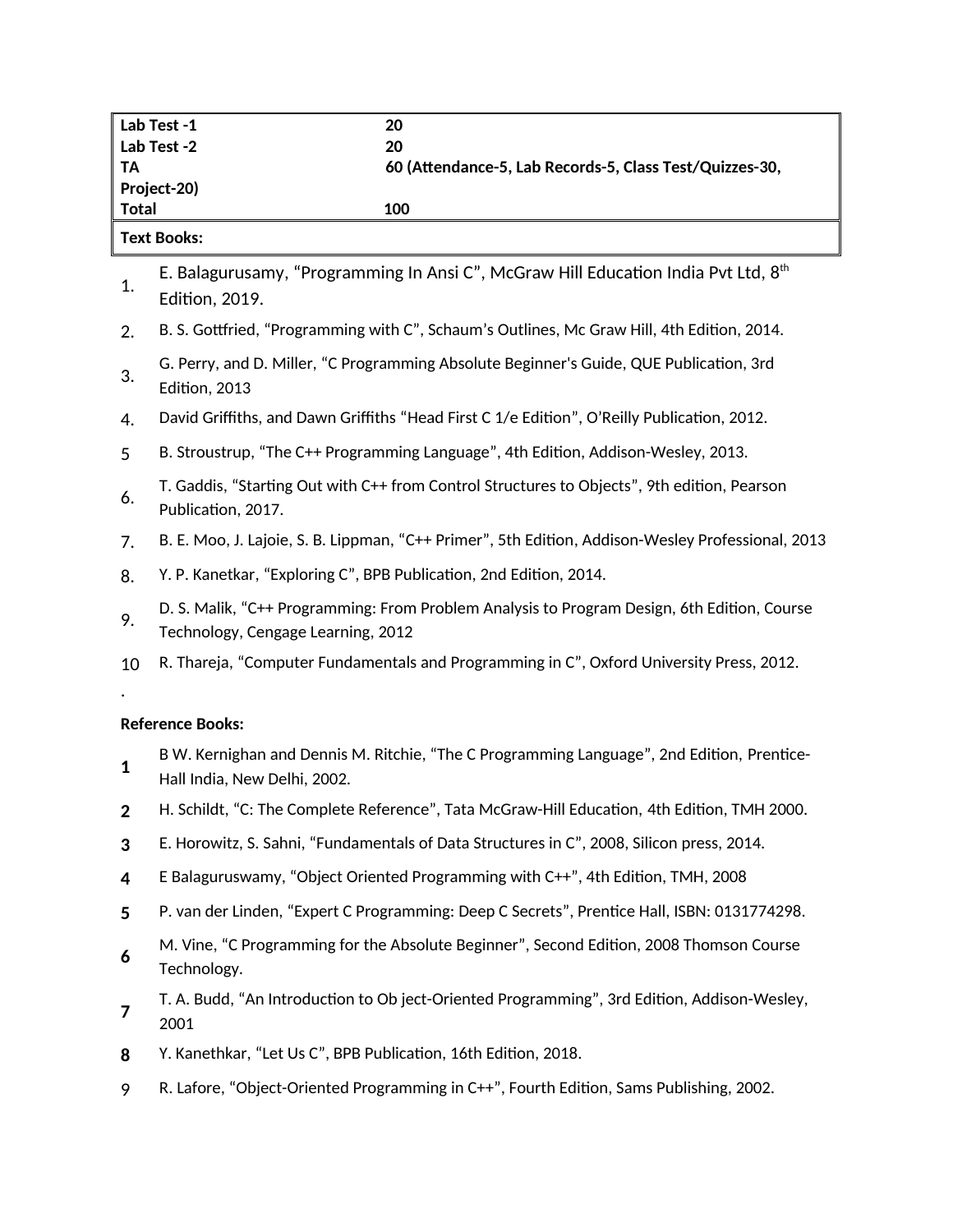| Lab Test -1  | 20                                                      |
|--------------|---------------------------------------------------------|
| Lab Test -2  | 20                                                      |
| - TA         | 60 (Attendance-5, Lab Records-5, Class Test/Quizzes-30, |
| Project-20)  |                                                         |
| <b>Total</b> | 100                                                     |
| __ _ _       |                                                         |

#### **Text Books:**

1. [E. Balagurusamy,](https://www.goodreads.com/author/show/2332001.E_Balagurusamy) "Programming In Ansi C", McGraw Hill Education India Pvt Ltd,  $8^{\rm th}$ Edition, 2019.

- 2. B. S. Gottfried, "Programming with C", Schaum's Outlines, Mc Graw Hill, 4th Edition, 2014.
- 3. G. Perry, and D. Miller, "C Programming Absolute Beginner's Guide, QUE Publication, 3rd Edition, 2013
- 4. David Griffiths, and Dawn Griffiths ["Head First C 1/e Edition"](https://geni.us/1A0HIFd), O'Reilly Publication, 2012.
- 5 B. Stroustrup, "The C++ Programming Language", 4th Edition, Addison-Wesley, 2013.
- 6. T. Gaddis, "Starting Out with C++ from Control Structures to Objects", 9th edition, Pearson Publication, 2017.
- 7. B. E. Moo, J. Lajoie, S. B. Lippman, ["C++ Primer", 5th Edition,](https://geni.us/Y6Udqa) Addison-Wesley Professional, 2013
- 8. [Y. P. Kanetkar,](https://www.goodreads.com/author/show/409680.Yashavant_P_Kanetkar) "Exploring C", BPB Publication, 2nd Edition, 2014.
- 9. D. S. Malik, "C++ Programming: From Problem Analysis to Program Design, 6th Edition, Course Technology, Cengage Learning, 2012
- 10 [R. Thareja,](https://www.goodreads.com/author/show/4389838.Reema_Thareja) "Computer Fundamentals and Programming in C", Oxford University Press, 2012.

### **Reference Books:**

.

- **1** B W. Kernighan and Dennis M. Ritchie, "The C Programming Language", 2nd Edition, [Prentice-](javascript:OpenSearch(0,%20)[Hall](javascript:OpenSearch(0,%20) [India, N](javascript:OpenSearch(0,%20)ew Delhi, 2002.
- **2** H. [Schildt,](https://www.google.co.in/search?tbo=p&tbm=bks&q=inauthor:%22Schildt%22) "C: The Complete Reference", Tata McGraw-Hill Education, 4th Edition, TMH 2000.
- **3** E. Horowitz, S. Sahni, "Fundamentals of Data Structures in C", 2008, Silicon press, 2014.
- **4** E Balaguruswamy, "Object Oriented Programming with C++", 4th Edition, TMH, 2008
- **5** P. van der Linden, "Expert C Programming: Deep C Secrets", Prentice Hall, ISBN: 0131774298.
- **6** M. Vine, "C Programming for the Absolute Beginner", Second Edition, 2008 Thomson Course Technology.
- **7** T. A. Budd, "An Introduction to Ob ject-Oriented Programming", 3rd Edition, Addison-Wesley, 2001
- **8** Y. Kanethkar, "Let Us C", BPB Publication, 16th Edition, 2018.
- 9 R. Lafore, "Object-Oriented Programming in C++", Fourth Edition, Sams Publishing, 2002.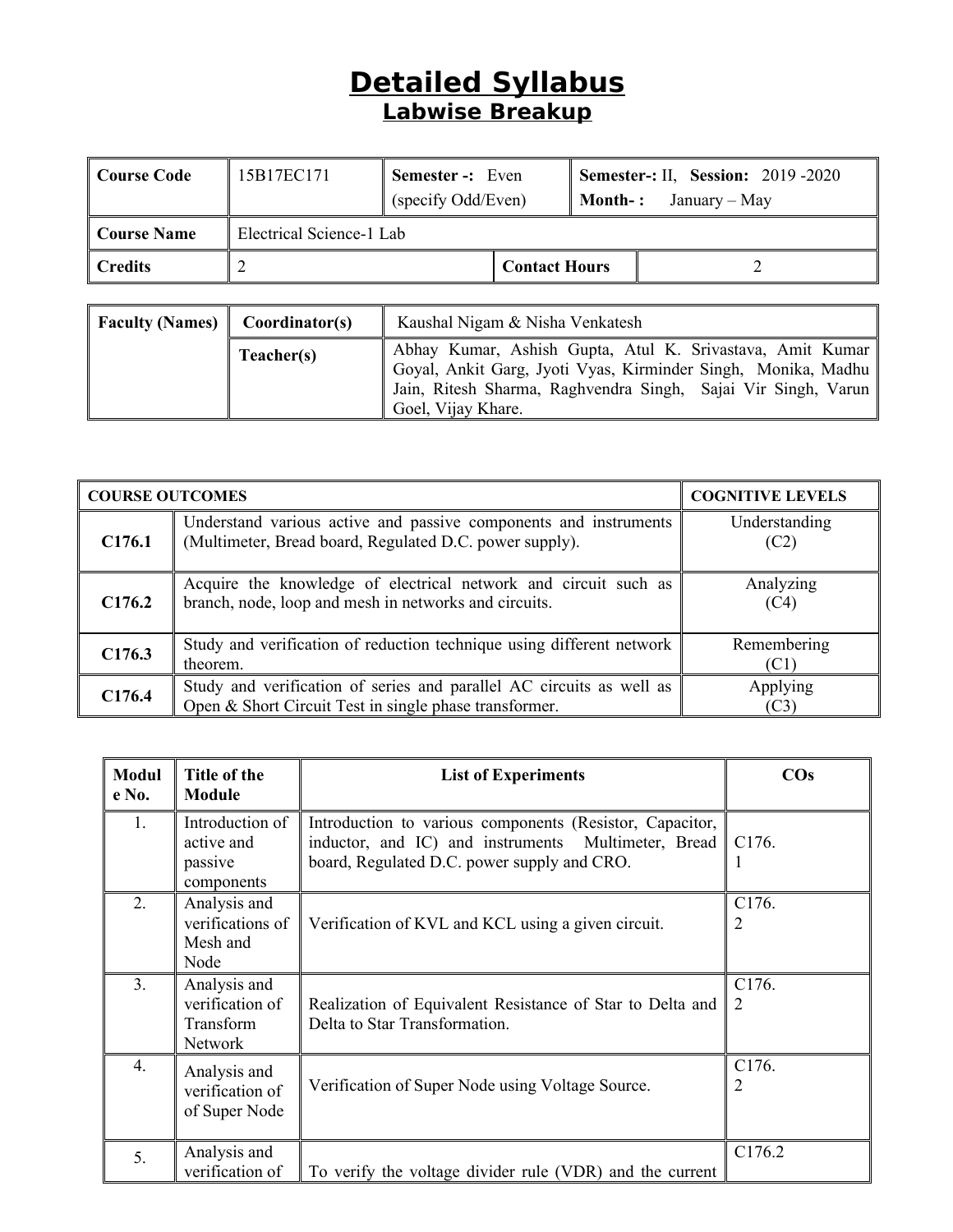# **Detailed Syllabus Labwise Breakup**

| Course Code     | 15B17EC171               | <b>Semester -:</b> Even |  |  | <b>Semester-: II, Session: 2019 -2020</b> |
|-----------------|--------------------------|-------------------------|--|--|-------------------------------------------|
|                 |                          | (specify Odd/Even)      |  |  | <b>Month-:</b> January – May              |
| Course Name     | Electrical Science-1 Lab |                         |  |  |                                           |
| $\vert$ Credits |                          | <b>Contact Hours</b>    |  |  |                                           |

| <b>Faculty (Names)</b> Coordinator(s) |            | Kaushal Nigam & Nisha Venkatesh                                                                                                                                                                                        |  |  |  |
|---------------------------------------|------------|------------------------------------------------------------------------------------------------------------------------------------------------------------------------------------------------------------------------|--|--|--|
|                                       | Teacher(s) | Abhay Kumar, Ashish Gupta, Atul K. Srivastava, Amit Kumar<br>  Goyal, Ankit Garg, Jyoti Vyas, Kirminder Singh, Monika, Madhu   <br>Jain, Ritesh Sharma, Raghvendra Singh, Sajai Vir Singh, Varun<br>Goel, Vijay Khare. |  |  |  |

|                    | <b>COURSE OUTCOMES</b>                                                                                                         |                       |  |  |
|--------------------|--------------------------------------------------------------------------------------------------------------------------------|-----------------------|--|--|
| C <sub>176.1</sub> | Understand various active and passive components and instruments<br>(Multimeter, Bread board, Regulated D.C. power supply).    | Understanding<br>(C2) |  |  |
| C176.2             | Acquire the knowledge of electrical network and circuit such as<br>branch, node, loop and mesh in networks and circuits.       | Analyzing<br>(C4)     |  |  |
| C176.3             | Study and verification of reduction technique using different network<br>theorem.                                              | Remembering<br>(C1)   |  |  |
| C <sub>176.4</sub> | Study and verification of series and parallel AC circuits as well as<br>Open & Short Circuit Test in single phase transformer. | Applying<br>(C3)      |  |  |

| <b>Modul</b><br>e No. | Title of the<br><b>Module</b>                           | <b>List of Experiments</b>                                                                                                                                     | $\cos$     |
|-----------------------|---------------------------------------------------------|----------------------------------------------------------------------------------------------------------------------------------------------------------------|------------|
| 1.                    | Introduction of<br>active and<br>passive<br>components  | Introduction to various components (Resistor, Capacitor,<br>inductor, and IC) and instruments Multimeter, Bread<br>board, Regulated D.C. power supply and CRO. | C176.      |
| 2.                    | Analysis and<br>verifications of<br>Mesh and<br>Node    | Verification of KVL and KCL using a given circuit.                                                                                                             | C176.<br>2 |
| 3 <sub>1</sub>        | Analysis and<br>verification of<br>Transform<br>Network | Realization of Equivalent Resistance of Star to Delta and<br>Delta to Star Transformation.                                                                     | C176.<br>2 |
| $\overline{4}$ .      | Analysis and<br>verification of<br>of Super Node        | Verification of Super Node using Voltage Source.                                                                                                               | C176.<br>2 |
| 5.                    | Analysis and<br>verification of                         | To verify the voltage divider rule (VDR) and the current                                                                                                       | C176.2     |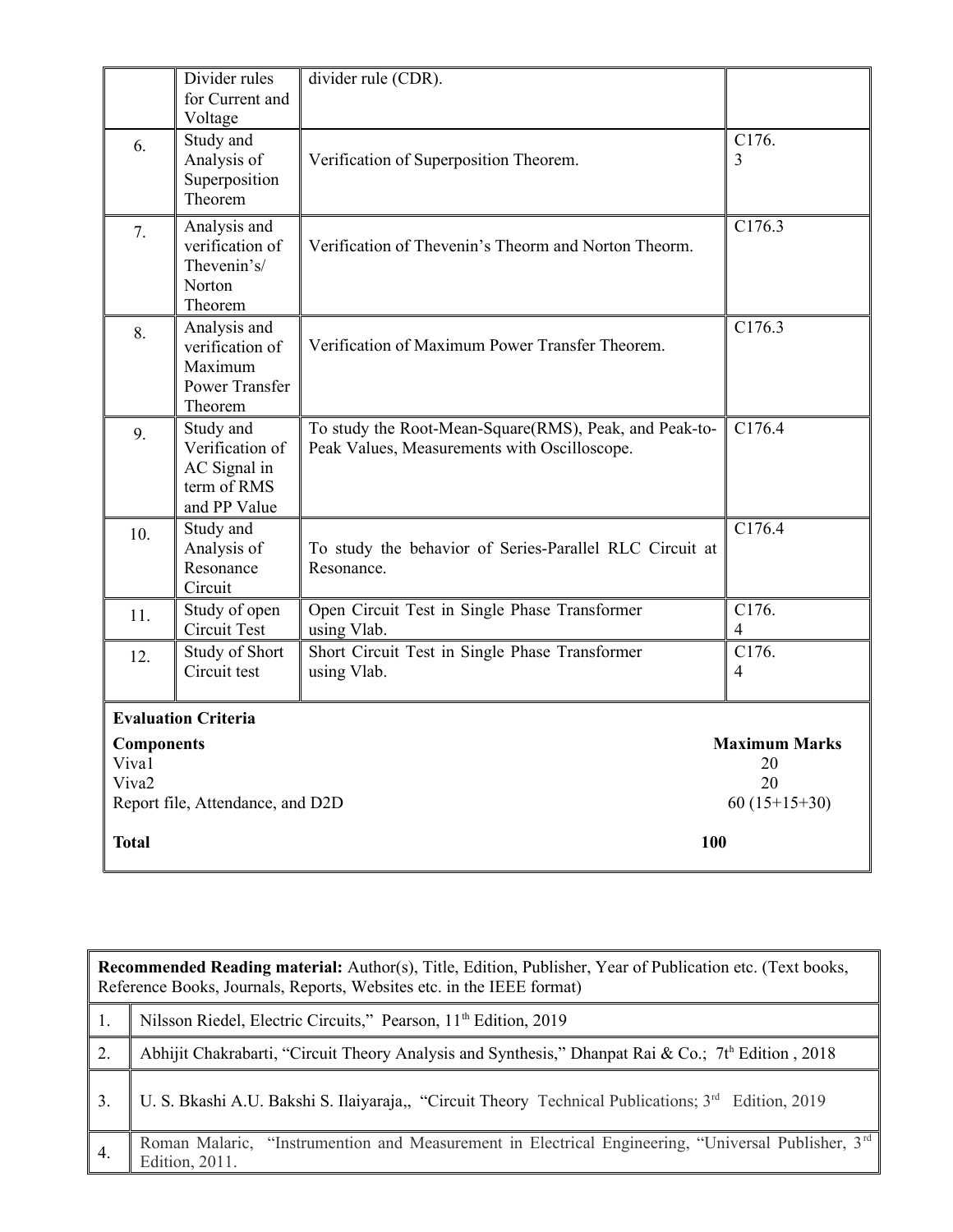|                                                 | Divider rules<br>for Current and<br>Voltage                                    | divider rule (CDR).                                                                                    |                                                    |
|-------------------------------------------------|--------------------------------------------------------------------------------|--------------------------------------------------------------------------------------------------------|----------------------------------------------------|
| 6.                                              | Study and<br>Analysis of<br>Superposition<br>Theorem                           | Verification of Superposition Theorem.                                                                 | C176.<br>3                                         |
| 7.                                              | Analysis and<br>verification of<br>Thevenin's/<br>Norton<br>Theorem            | Verification of Thevenin's Theorm and Norton Theorm.                                                   | C176.3                                             |
| 8.                                              | Analysis and<br>verification of<br>Maximum<br><b>Power Transfer</b><br>Theorem | Verification of Maximum Power Transfer Theorem.                                                        | C176.3                                             |
| 9.                                              | Study and<br>Verification of<br>AC Signal in<br>term of RMS<br>and PP Value    | To study the Root-Mean-Square(RMS), Peak, and Peak-to-<br>Peak Values, Measurements with Oscilloscope. | C176.4                                             |
| 10.                                             | Study and<br>Analysis of<br>Resonance<br>Circuit                               | To study the behavior of Series-Parallel RLC Circuit at<br>Resonance.                                  | C176.4                                             |
| 11.                                             | Study of open<br><b>Circuit Test</b>                                           | Open Circuit Test in Single Phase Transformer<br>using Vlab.                                           | C176.<br>4                                         |
| 12.                                             | Study of Short<br>Circuit test                                                 | Short Circuit Test in Single Phase Transformer<br>using Vlab.                                          | C176.<br>4                                         |
| <b>Components</b><br>Viva1<br>Viva <sub>2</sub> | <b>Evaluation Criteria</b><br>Report file, Attendance, and D2D                 |                                                                                                        | <b>Maximum Marks</b><br>20<br>20<br>$60(15+15+30)$ |
| <b>Total</b>                                    |                                                                                | 100                                                                                                    |                                                    |

| Recommended Reading material: Author(s), Title, Edition, Publisher, Year of Publication etc. (Text books,<br>Reference Books, Journals, Reports, Websites etc. in the IEEE format) |  |  |  |  |
|------------------------------------------------------------------------------------------------------------------------------------------------------------------------------------|--|--|--|--|
| Nilsson Riedel, Electric Circuits," Pearson, 11 <sup>th</sup> Edition, 2019                                                                                                        |  |  |  |  |
| Abhijit Chakrabarti, "Circuit Theory Analysis and Synthesis," Dhanpat Rai & Co.; 7th Edition, 2018                                                                                 |  |  |  |  |
| U. S. Bkashi A.U. Bakshi S. Ilaiyaraja,, "Circuit Theory Technical Publications; 3 <sup>rd</sup> Edition, 2019                                                                     |  |  |  |  |
| Roman Malaric, "Instrumention and Measurement in Electrical Engineering, "Universal Publisher, 3rd                                                                                 |  |  |  |  |
|                                                                                                                                                                                    |  |  |  |  |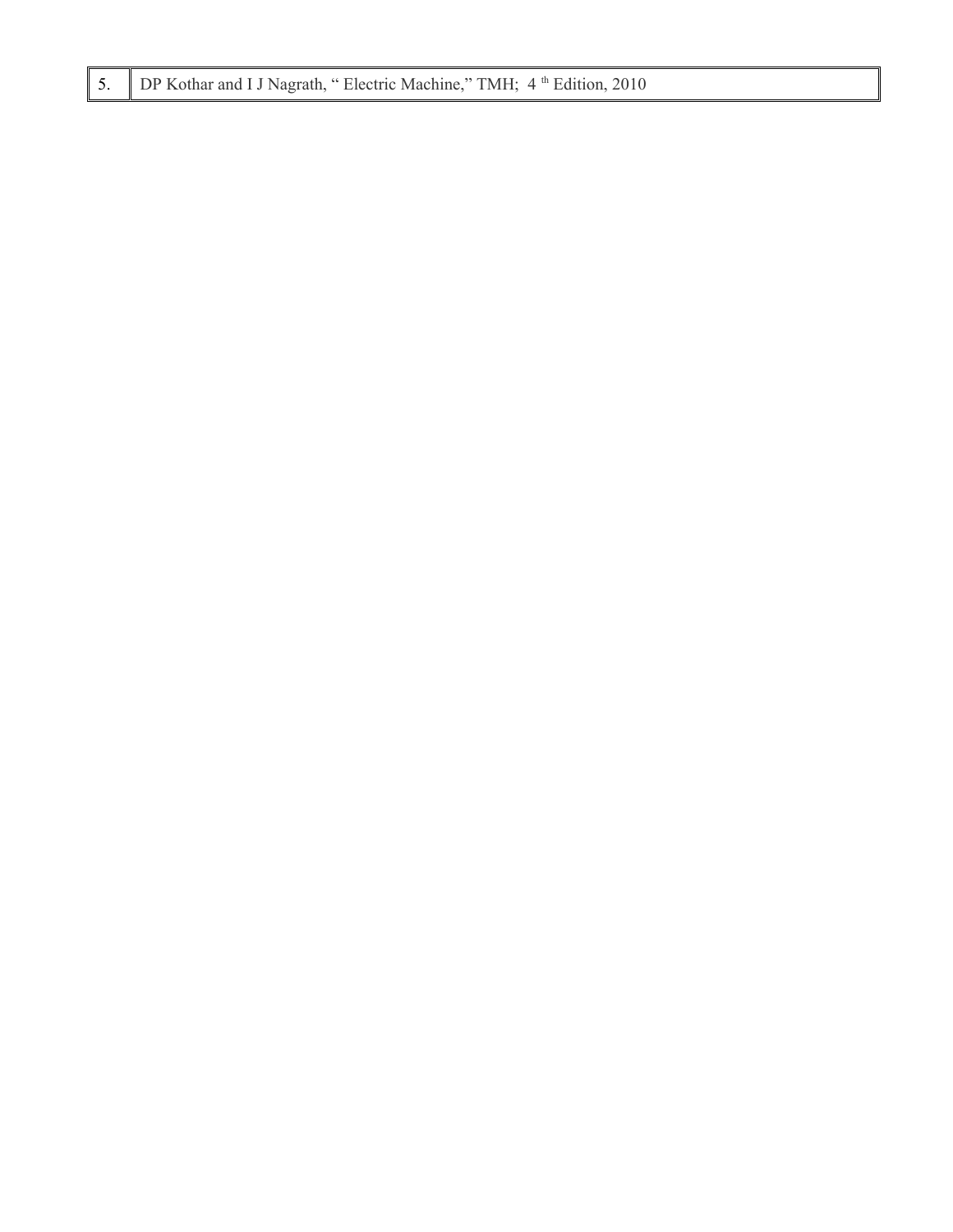|  | 5.   DP Kothar and I J Nagrath, "Electric Machine," TMH; 4 <sup>th</sup> Edition, 2010 |  |  |  |  |
|--|----------------------------------------------------------------------------------------|--|--|--|--|
|--|----------------------------------------------------------------------------------------|--|--|--|--|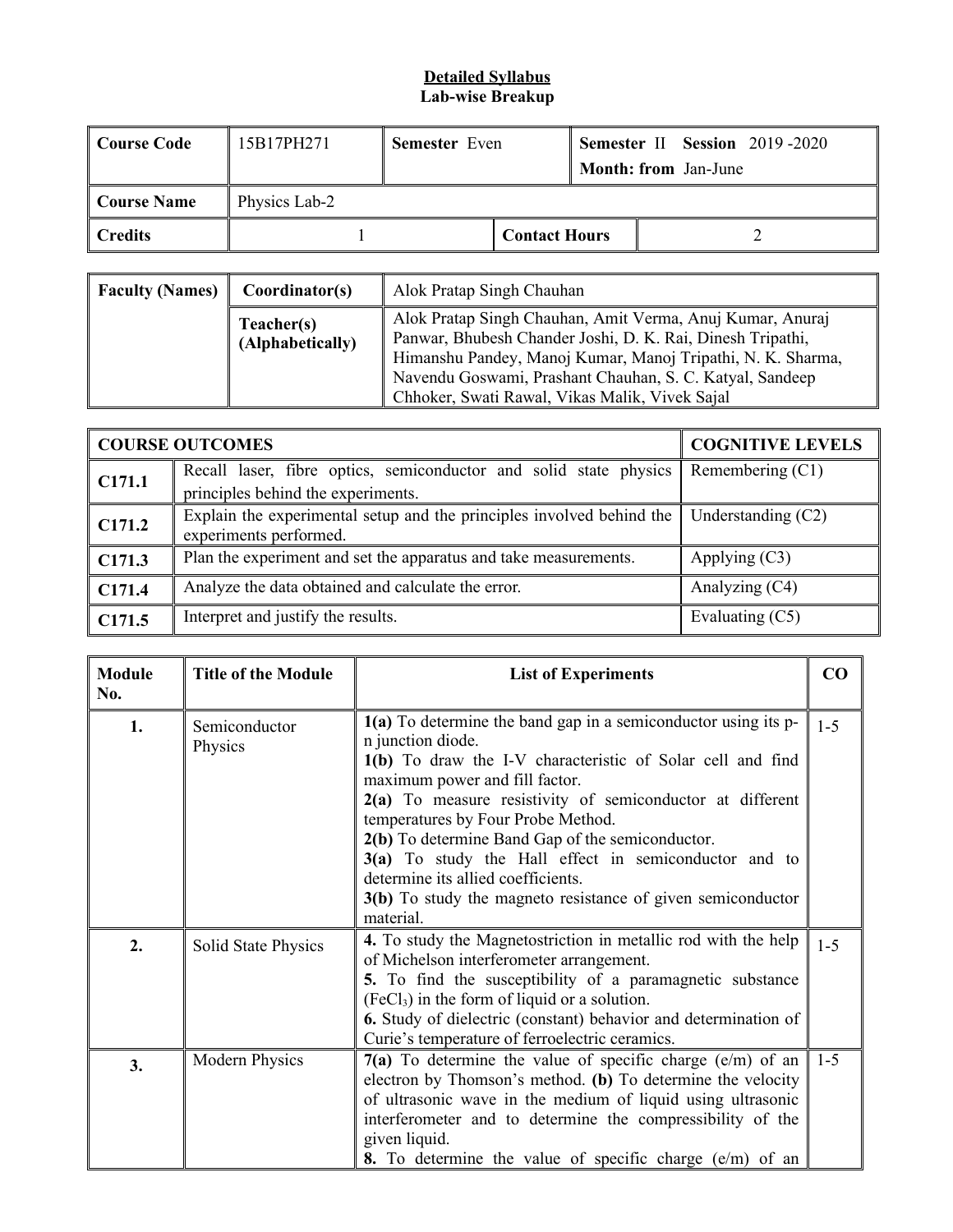#### **Detailed Syllabus Lab-wise Breakup**

| Course Code            | 15B17PH271    | <b>Semester</b> Even |                      |  | <b>Semester II Session 2019-2020</b><br><b>Month: from Jan-June</b> |
|------------------------|---------------|----------------------|----------------------|--|---------------------------------------------------------------------|
| Course Name            | Physics Lab-2 |                      |                      |  |                                                                     |
| $\blacksquare$ Credits |               |                      | <b>Contact Hours</b> |  |                                                                     |

| <b>Faculty (Names)</b> | Coordinator(s)                 | Alok Pratap Singh Chauhan                                                                                                                                                                                                                                                                            |
|------------------------|--------------------------------|------------------------------------------------------------------------------------------------------------------------------------------------------------------------------------------------------------------------------------------------------------------------------------------------------|
|                        | Teacher(s)<br>(Alphabetically) | Alok Pratap Singh Chauhan, Amit Verma, Anuj Kumar, Anuraj<br>Panwar, Bhubesh Chander Joshi, D. K. Rai, Dinesh Tripathi,<br>Himanshu Pandey, Manoj Kumar, Manoj Tripathi, N. K. Sharma,<br>Navendu Goswami, Prashant Chauhan, S. C. Katyal, Sandeep<br>Chhoker, Swati Rawal, Vikas Malik, Vivek Sajal |

|        | <b>COURSE OUTCOMES</b>                                                | <b>COGNITIVE LEVELS</b> |
|--------|-----------------------------------------------------------------------|-------------------------|
| C171.1 | Recall laser, fibre optics, semiconductor and solid state physics     | Remembering $(C1)$      |
|        | principles behind the experiments.                                    |                         |
| C171.2 | Explain the experimental setup and the principles involved behind the | Understanding $(C2)$    |
|        | experiments performed.                                                |                         |
| C171.3 | Plan the experiment and set the apparatus and take measurements.      | Applying $(C3)$         |
| C171.4 | Analyze the data obtained and calculate the error.                    | Analyzing (C4)          |
| C171.5 | Interpret and justify the results.                                    | Evaluating (C5)         |

| <b>Module</b><br>No. | <b>Title of the Module</b> | <b>List of Experiments</b>                                                                                                                                                                                                                                                                                                                                                                                                                                                                                 | $\bf CO$ |
|----------------------|----------------------------|------------------------------------------------------------------------------------------------------------------------------------------------------------------------------------------------------------------------------------------------------------------------------------------------------------------------------------------------------------------------------------------------------------------------------------------------------------------------------------------------------------|----------|
| 1.                   | Semiconductor<br>Physics   | $1(a)$ To determine the band gap in a semiconductor using its p-<br>n junction diode.<br>1(b) To draw the I-V characteristic of Solar cell and find<br>maximum power and fill factor.<br>2(a) To measure resistivity of semiconductor at different<br>temperatures by Four Probe Method.<br>2(b) To determine Band Gap of the semiconductor.<br>3(a) To study the Hall effect in semiconductor and to<br>determine its allied coefficients.<br>3(b) To study the magneto resistance of given semiconductor | $1 - 5$  |
|                      |                            | material.                                                                                                                                                                                                                                                                                                                                                                                                                                                                                                  |          |
| 2.                   | Solid State Physics        | 4. To study the Magnetostriction in metallic rod with the help<br>of Michelson interferometer arrangement.<br>5. To find the susceptibility of a paramagnetic substance<br>$(FeCl3)$ in the form of liquid or a solution.<br><b>6.</b> Study of dielectric (constant) behavior and determination of<br>Curie's temperature of ferroelectric ceramics.                                                                                                                                                      | $1 - 5$  |
| 3.                   | <b>Modern Physics</b>      | $7(a)$ To determine the value of specific charge (e/m) of an<br>electron by Thomson's method. (b) To determine the velocity<br>of ultrasonic wave in the medium of liquid using ultrasonic<br>interferometer and to determine the compressibility of the<br>given liquid.<br>8. To determine the value of specific charge (e/m) of an                                                                                                                                                                      | $1 - 5$  |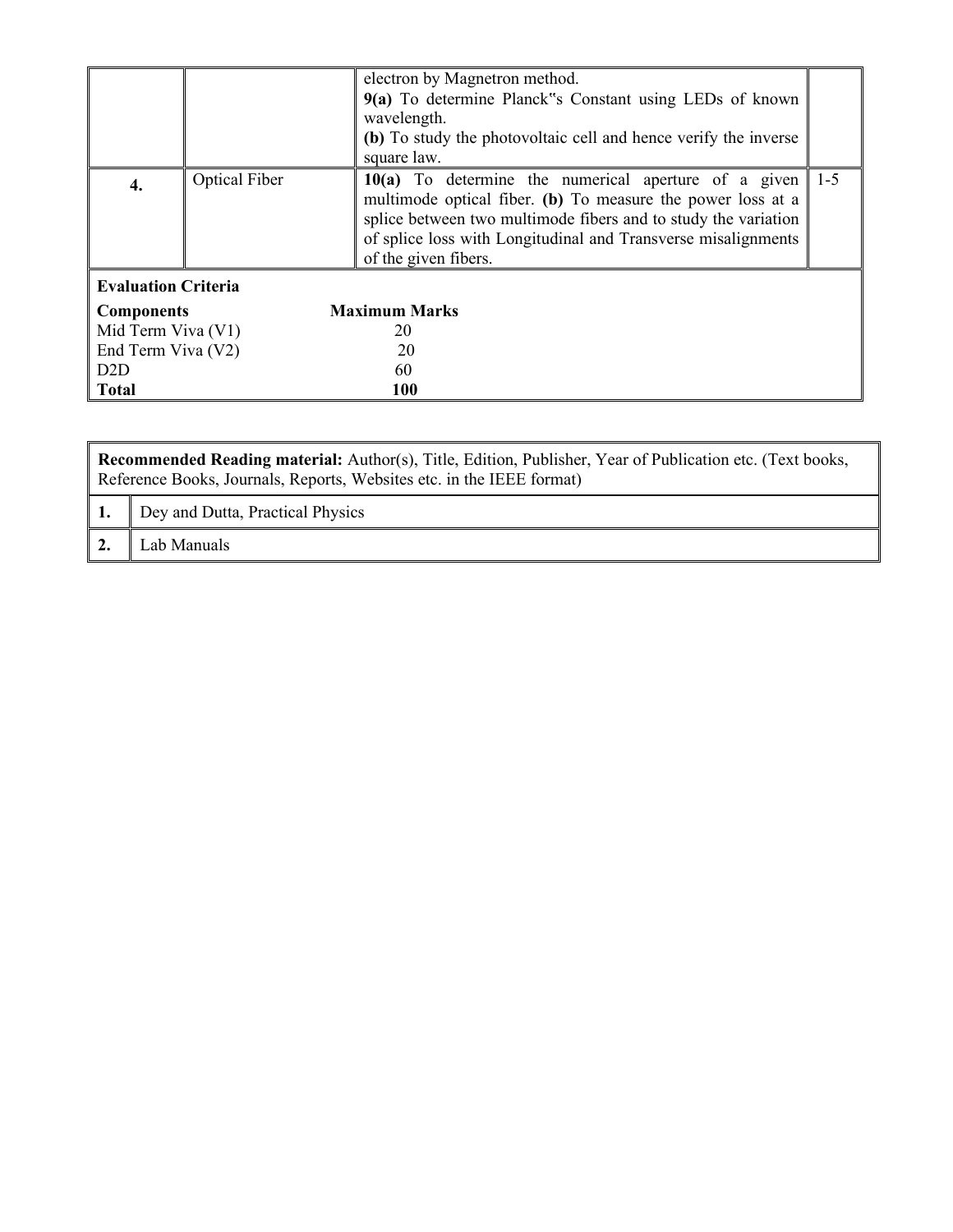|                            |                      | electron by Magnetron method.<br>9(a) To determine Planck "s Constant using LEDs of known<br>wavelength.<br>(b) To study the photovoltaic cell and hence verify the inverse<br>square law.                                                                                     |         |
|----------------------------|----------------------|--------------------------------------------------------------------------------------------------------------------------------------------------------------------------------------------------------------------------------------------------------------------------------|---------|
| 4.                         | <b>Optical Fiber</b> | 10(a) To determine the numerical aperture of a given<br>multimode optical fiber. (b) To measure the power loss at a<br>splice between two multimode fibers and to study the variation<br>of splice loss with Longitudinal and Transverse misalignments<br>of the given fibers. | $1 - 5$ |
| <b>Evaluation Criteria</b> |                      |                                                                                                                                                                                                                                                                                |         |
| <b>Components</b>          |                      | <b>Maximum Marks</b>                                                                                                                                                                                                                                                           |         |
| Mid Term Viva (V1)         |                      | 20                                                                                                                                                                                                                                                                             |         |
| End Term Viva (V2)         |                      | 20                                                                                                                                                                                                                                                                             |         |
| D2D                        |                      | 60                                                                                                                                                                                                                                                                             |         |
| <b>Total</b>               |                      | <b>100</b>                                                                                                                                                                                                                                                                     |         |

| Recommended Reading material: Author(s), Title, Edition, Publisher, Year of Publication etc. (Text books,<br>Reference Books, Journals, Reports, Websites etc. in the IEEE format) |                                  |  |
|------------------------------------------------------------------------------------------------------------------------------------------------------------------------------------|----------------------------------|--|
|                                                                                                                                                                                    | Dey and Dutta, Practical Physics |  |
|                                                                                                                                                                                    | Lab Manuals                      |  |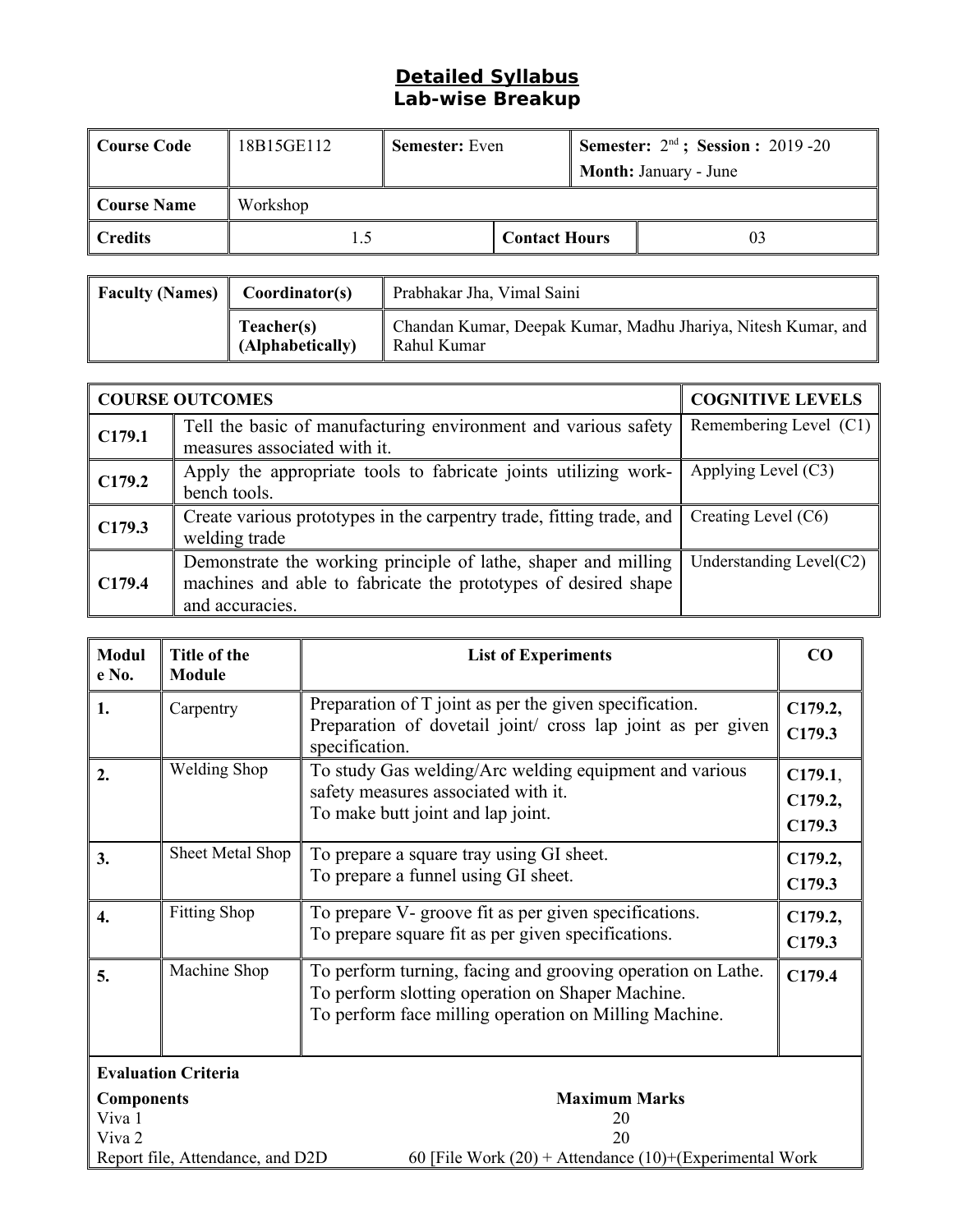## **Detailed Syllabus Lab-wise Breakup**

| Course Code | 18B15GE112 | <b>Semester:</b> Even |                      | <b>Semester:</b> $2nd$ ; <b>Session :</b> 2019 -20 |                              |
|-------------|------------|-----------------------|----------------------|----------------------------------------------------|------------------------------|
|             |            |                       |                      |                                                    | <b>Month: January - June</b> |
| Course Name | Workshop   |                       |                      |                                                    |                              |
| Credits     |            |                       | <b>Contact Hours</b> |                                                    | 03                           |

| $\parallel$ Faculty (Names) $\parallel$ Coordinator(s) |                                | Prabhakar Jha, Vimal Saini                                                   |  |
|--------------------------------------------------------|--------------------------------|------------------------------------------------------------------------------|--|
|                                                        | Teacher(s)<br>(Alphabetically) | Chandan Kumar, Deepak Kumar, Madhu Jhariya, Nitesh Kumar, and<br>Rahul Kumar |  |

|        | <b>COURSE OUTCOMES</b>                                                                                                                              | <b>COGNITIVE LEVELS</b>    |
|--------|-----------------------------------------------------------------------------------------------------------------------------------------------------|----------------------------|
| C179.1 | Tell the basic of manufacturing environment and various safety<br>measures associated with it.                                                      | Remembering Level $(C1)$   |
| C179.2 | Apply the appropriate tools to fabricate joints utilizing work-<br>bench tools.                                                                     | Applying Level $(C3)$      |
| C179.3 | Create various prototypes in the carpentry trade, fitting trade, and<br>welding trade                                                               | Creating Level (C6)        |
| C179.4 | Demonstrate the working principle of lathe, shaper and milling<br>machines and able to fabricate the prototypes of desired shape<br>and accuracies. | Understanding Level $(C2)$ |

| Modul<br>e No.                                                                                                                                                                | Title of the<br><b>Module</b> | <b>List of Experiments</b>                                                                                                                                               | CO                           |
|-------------------------------------------------------------------------------------------------------------------------------------------------------------------------------|-------------------------------|--------------------------------------------------------------------------------------------------------------------------------------------------------------------------|------------------------------|
| 1.                                                                                                                                                                            | Carpentry                     | Preparation of T joint as per the given specification.<br>Preparation of dovetail joint/ cross lap joint as per given<br>specification.                                  | C179.2,<br>C179.3            |
| 2.                                                                                                                                                                            | <b>Welding Shop</b>           | To study Gas welding/Arc welding equipment and various<br>safety measures associated with it.<br>To make butt joint and lap joint.                                       | C179.1,<br>C179.2,<br>C179.3 |
| 3.                                                                                                                                                                            | Sheet Metal Shop              | To prepare a square tray using GI sheet.<br>To prepare a funnel using GI sheet.                                                                                          | C179.2,<br>C179.3            |
| $\mathbf{4}$                                                                                                                                                                  | <b>Fitting Shop</b>           | To prepare V- groove fit as per given specifications.<br>To prepare square fit as per given specifications.                                                              | C179.2,<br>C179.3            |
| 5.                                                                                                                                                                            | Machine Shop                  | To perform turning, facing and grooving operation on Lathe.<br>To perform slotting operation on Shaper Machine.<br>To perform face milling operation on Milling Machine. | C179.4                       |
| <b>Evaluation Criteria</b>                                                                                                                                                    |                               |                                                                                                                                                                          |                              |
| <b>Maximum Marks</b><br><b>Components</b><br>Viva 1<br>20<br>Viva 2<br>20<br>Report file, Attendance, and D2D<br>60 [File Work $(20)$ + Attendance $(10)$ +(Experimental Work |                               |                                                                                                                                                                          |                              |